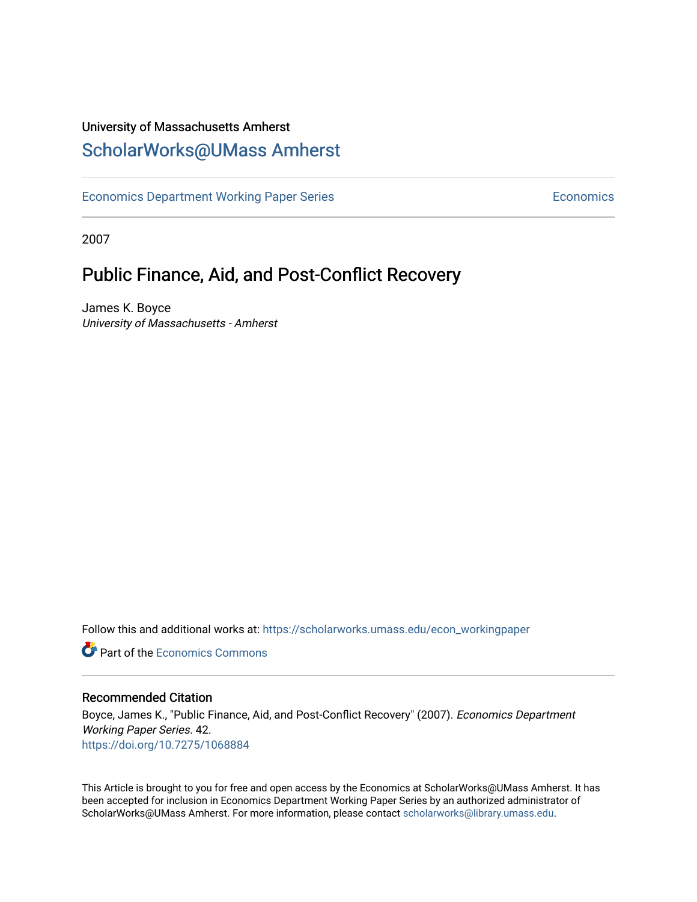### University of Massachusetts Amherst [ScholarWorks@UMass Amherst](https://scholarworks.umass.edu/)

[Economics Department Working Paper Series](https://scholarworks.umass.edu/econ_workingpaper) **Economics** Economics

2007

### Public Finance, Aid, and Post-Conflict Recovery

James K. Boyce University of Massachusetts - Amherst

Follow this and additional works at: [https://scholarworks.umass.edu/econ\\_workingpaper](https://scholarworks.umass.edu/econ_workingpaper?utm_source=scholarworks.umass.edu%2Fecon_workingpaper%2F42&utm_medium=PDF&utm_campaign=PDFCoverPages) 

**C** Part of the [Economics Commons](http://network.bepress.com/hgg/discipline/340?utm_source=scholarworks.umass.edu%2Fecon_workingpaper%2F42&utm_medium=PDF&utm_campaign=PDFCoverPages)

#### Recommended Citation

Boyce, James K., "Public Finance, Aid, and Post-Conflict Recovery" (2007). Economics Department Working Paper Series. 42. <https://doi.org/10.7275/1068884>

This Article is brought to you for free and open access by the Economics at ScholarWorks@UMass Amherst. It has been accepted for inclusion in Economics Department Working Paper Series by an authorized administrator of ScholarWorks@UMass Amherst. For more information, please contact [scholarworks@library.umass.edu.](mailto:scholarworks@library.umass.edu)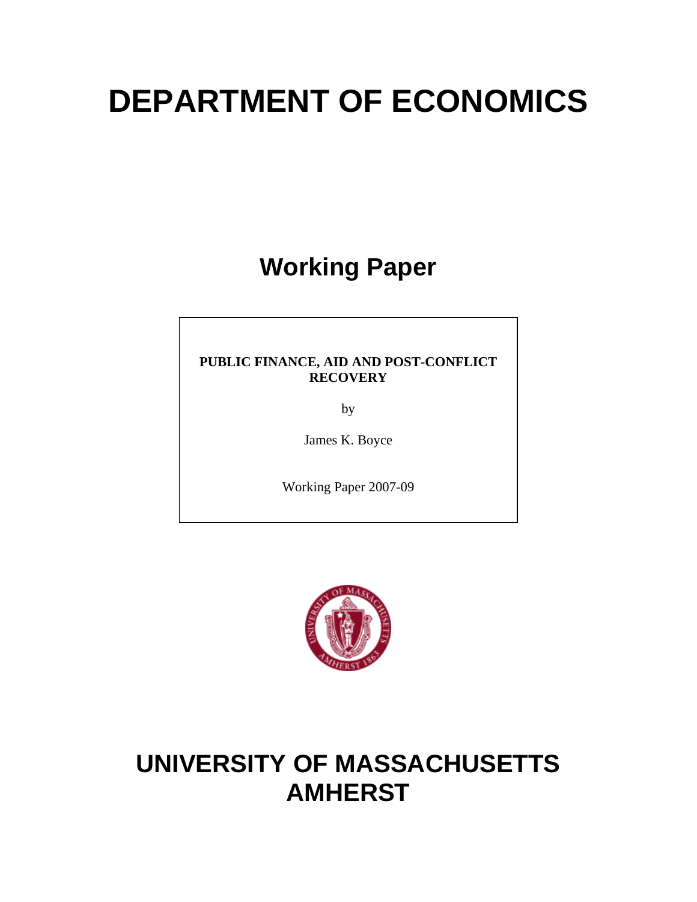# **DEPARTMENT OF ECONOMICS**

# **Working Paper**

#### **PUBLIC FINANCE, AID AND POST-CONFLICT RECOVERY**

by

James K. Boyce

Working Paper 2007-09



## **UNIVERSITY OF MASSACHUSETTS AMHERST**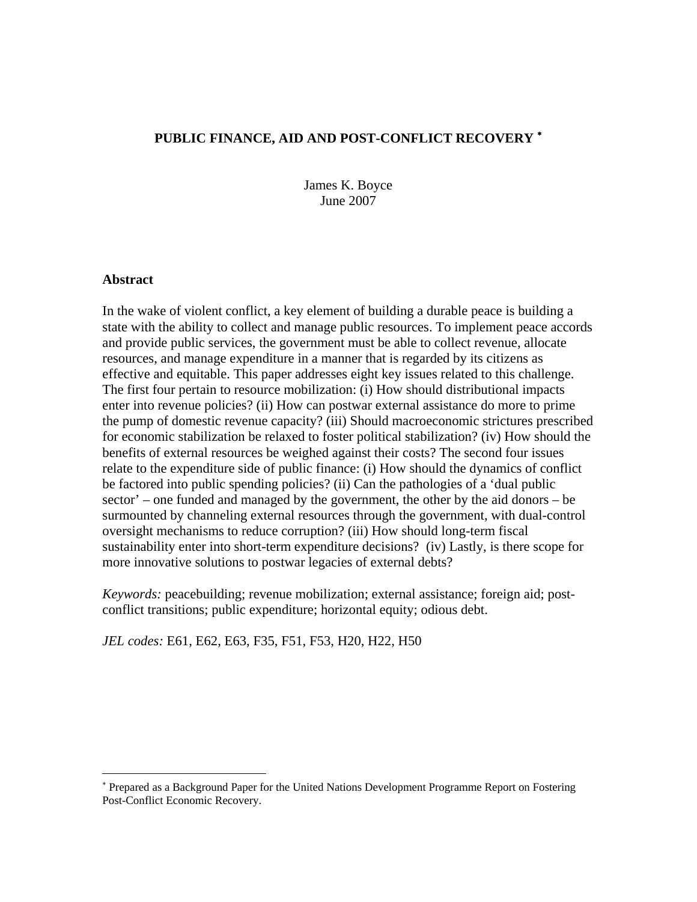#### **PUBLIC FINANCE, AID AND POST-CONFLICT RECOVERY** [∗](#page-2-0)

James K. Boyce June 2007

#### **Abstract**

1

In the wake of violent conflict, a key element of building a durable peace is building a state with the ability to collect and manage public resources. To implement peace accords and provide public services, the government must be able to collect revenue, allocate resources, and manage expenditure in a manner that is regarded by its citizens as effective and equitable. This paper addresses eight key issues related to this challenge. The first four pertain to resource mobilization: (i) How should distributional impacts enter into revenue policies? (ii) How can postwar external assistance do more to prime the pump of domestic revenue capacity? (iii) Should macroeconomic strictures prescribed for economic stabilization be relaxed to foster political stabilization? (iv) How should the benefits of external resources be weighed against their costs? The second four issues relate to the expenditure side of public finance: (i) How should the dynamics of conflict be factored into public spending policies? (ii) Can the pathologies of a 'dual public sector' – one funded and managed by the government, the other by the aid donors – be surmounted by channeling external resources through the government, with dual-control oversight mechanisms to reduce corruption? (iii) How should long-term fiscal sustainability enter into short-term expenditure decisions? (iv) Lastly, is there scope for more innovative solutions to postwar legacies of external debts?

*Keywords:* peacebuilding; revenue mobilization; external assistance; foreign aid; postconflict transitions; public expenditure; horizontal equity; odious debt.

*JEL codes:* E61, E62, E63, F35, F51, F53, H20, H22, H50

<span id="page-2-0"></span><sup>∗</sup> Prepared as a Background Paper for the United Nations Development Programme Report on Fostering Post-Conflict Economic Recovery.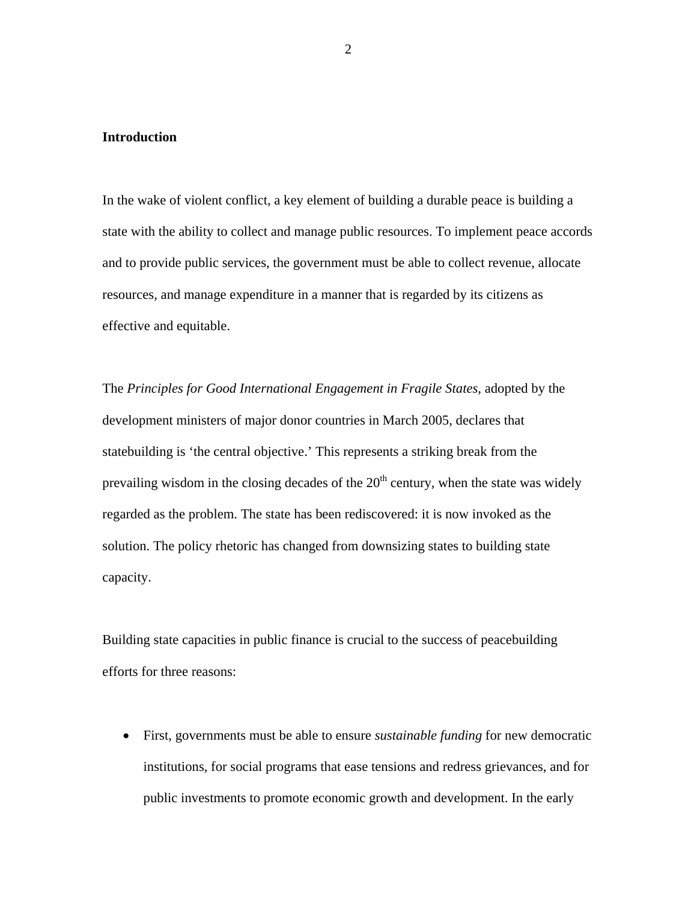#### **Introduction**

In the wake of violent conflict, a key element of building a durable peace is building a state with the ability to collect and manage public resources. To implement peace accords and to provide public services, the government must be able to collect revenue, allocate resources, and manage expenditure in a manner that is regarded by its citizens as effective and equitable.

The *Principles for Good International Engagement in Fragile States*, adopted by the development ministers of major donor countries in March 2005, declares that statebuilding is 'the central objective.' This represents a striking break from the prevailing wisdom in the closing decades of the  $20<sup>th</sup>$  century, when the state was widely regarded as the problem. The state has been rediscovered: it is now invoked as the solution. The policy rhetoric has changed from downsizing states to building state capacity.

Building state capacities in public finance is crucial to the success of peacebuilding efforts for three reasons:

• First, governments must be able to ensure *sustainable funding* for new democratic institutions, for social programs that ease tensions and redress grievances, and for public investments to promote economic growth and development. In the early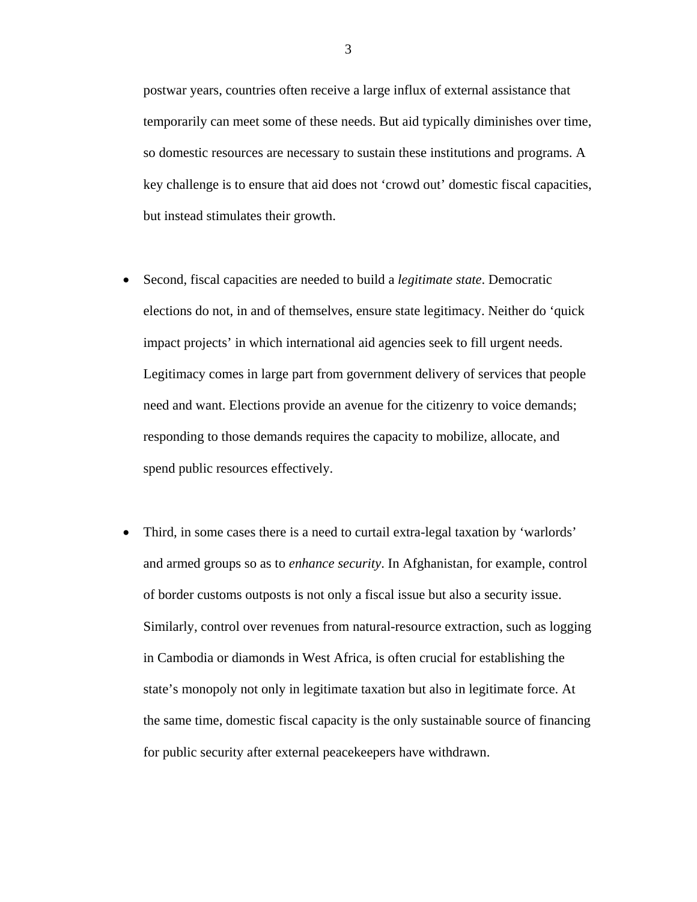postwar years, countries often receive a large influx of external assistance that temporarily can meet some of these needs. But aid typically diminishes over time, so domestic resources are necessary to sustain these institutions and programs. A key challenge is to ensure that aid does not 'crowd out' domestic fiscal capacities, but instead stimulates their growth.

- Second, fiscal capacities are needed to build a *legitimate state*. Democratic elections do not, in and of themselves, ensure state legitimacy. Neither do 'quick impact projects' in which international aid agencies seek to fill urgent needs. Legitimacy comes in large part from government delivery of services that people need and want. Elections provide an avenue for the citizenry to voice demands; responding to those demands requires the capacity to mobilize, allocate, and spend public resources effectively.
- Third, in some cases there is a need to curtail extra-legal taxation by 'warlords' and armed groups so as to *enhance security*. In Afghanistan, for example, control of border customs outposts is not only a fiscal issue but also a security issue. Similarly, control over revenues from natural-resource extraction, such as logging in Cambodia or diamonds in West Africa, is often crucial for establishing the state's monopoly not only in legitimate taxation but also in legitimate force. At the same time, domestic fiscal capacity is the only sustainable source of financing for public security after external peacekeepers have withdrawn.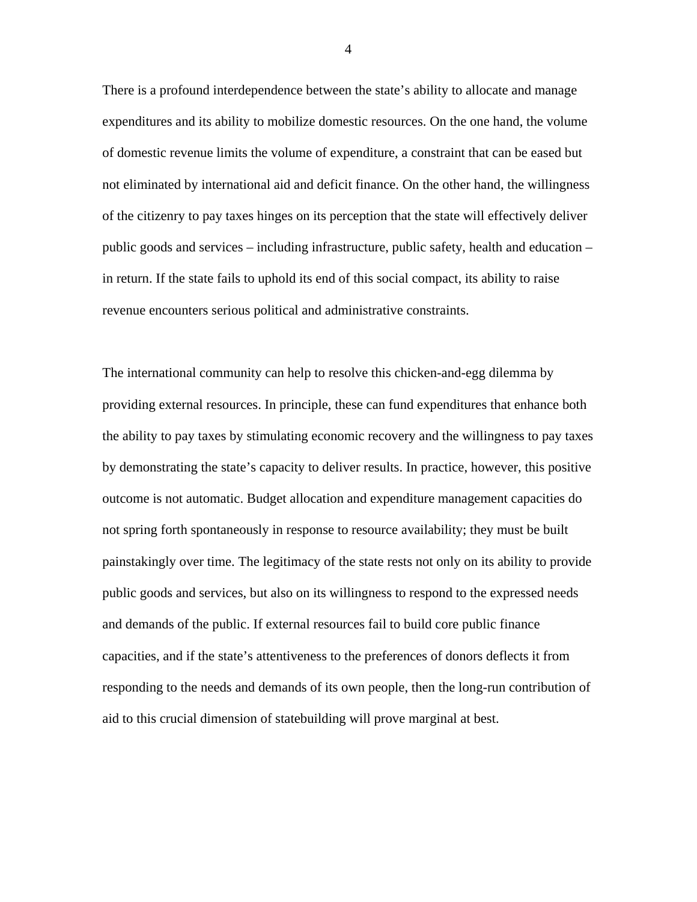There is a profound interdependence between the state's ability to allocate and manage expenditures and its ability to mobilize domestic resources. On the one hand, the volume of domestic revenue limits the volume of expenditure, a constraint that can be eased but not eliminated by international aid and deficit finance. On the other hand, the willingness of the citizenry to pay taxes hinges on its perception that the state will effectively deliver public goods and services – including infrastructure, public safety, health and education – in return. If the state fails to uphold its end of this social compact, its ability to raise revenue encounters serious political and administrative constraints.

The international community can help to resolve this chicken-and-egg dilemma by providing external resources. In principle, these can fund expenditures that enhance both the ability to pay taxes by stimulating economic recovery and the willingness to pay taxes by demonstrating the state's capacity to deliver results. In practice, however, this positive outcome is not automatic. Budget allocation and expenditure management capacities do not spring forth spontaneously in response to resource availability; they must be built painstakingly over time. The legitimacy of the state rests not only on its ability to provide public goods and services, but also on its willingness to respond to the expressed needs and demands of the public. If external resources fail to build core public finance capacities, and if the state's attentiveness to the preferences of donors deflects it from responding to the needs and demands of its own people, then the long-run contribution of aid to this crucial dimension of statebuilding will prove marginal at best.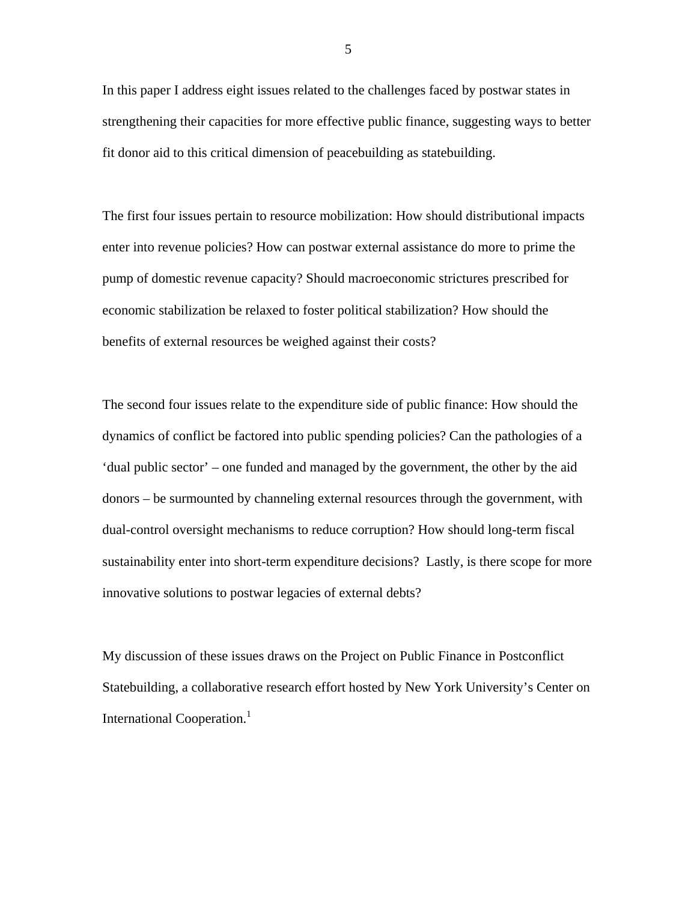In this paper I address eight issues related to the challenges faced by postwar states in strengthening their capacities for more effective public finance, suggesting ways to better fit donor aid to this critical dimension of peacebuilding as statebuilding.

The first four issues pertain to resource mobilization: How should distributional impacts enter into revenue policies? How can postwar external assistance do more to prime the pump of domestic revenue capacity? Should macroeconomic strictures prescribed for economic stabilization be relaxed to foster political stabilization? How should the benefits of external resources be weighed against their costs?

The second four issues relate to the expenditure side of public finance: How should the dynamics of conflict be factored into public spending policies? Can the pathologies of a 'dual public sector' – one funded and managed by the government, the other by the aid donors – be surmounted by channeling external resources through the government, with dual-control oversight mechanisms to reduce corruption? How should long-term fiscal sustainability enter into short-term expenditure decisions? Lastly, is there scope for more innovative solutions to postwar legacies of external debts?

My discussion of these issues draws on the Project on Public Finance in Postconflict Statebuilding, a collaborative research effort hosted by New York University's Center on International Cooperation.<sup>[1](#page-46-0)</sup>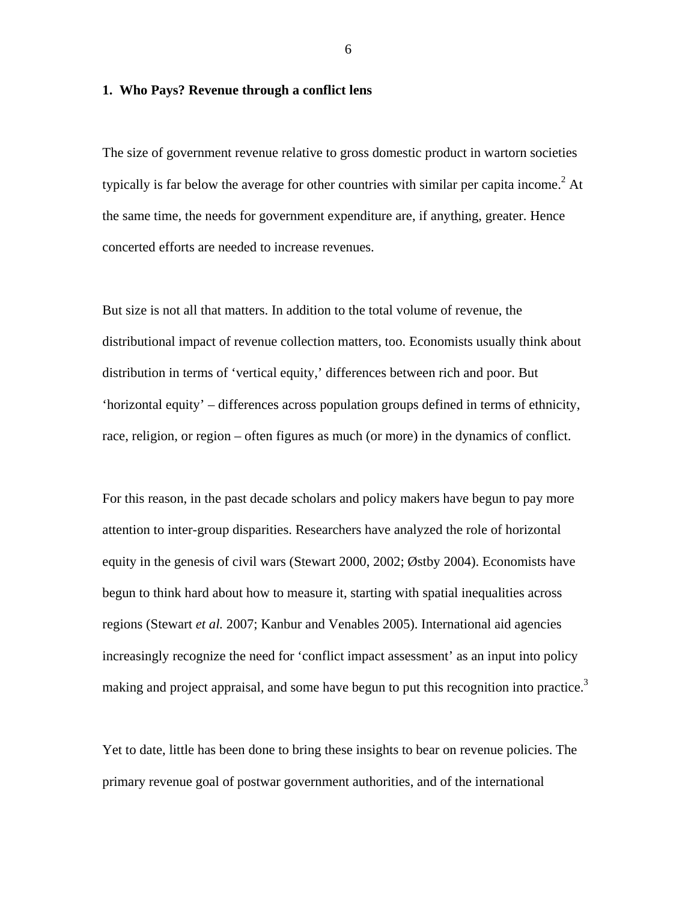#### **1. Who Pays? Revenue through a conflict lens**

The size of government revenue relative to gross domestic product in wartorn societies typically is far below the average for other countries with similar per capita income.<sup>[2](#page-46-1)</sup> At the same time, the needs for government expenditure are, if anything, greater. Hence concerted efforts are needed to increase revenues.

But size is not all that matters. In addition to the total volume of revenue, the distributional impact of revenue collection matters, too. Economists usually think about distribution in terms of 'vertical equity,' differences between rich and poor. But 'horizontal equity' – differences across population groups defined in terms of ethnicity, race, religion, or region – often figures as much (or more) in the dynamics of conflict.

For this reason, in the past decade scholars and policy makers have begun to pay more attention to inter-group disparities. Researchers have analyzed the role of horizontal equity in the genesis of civil wars (Stewart 2000, 2002; Østby 2004). Economists have begun to think hard about how to measure it, starting with spatial inequalities across regions (Stewart *et al.* 2007; Kanbur and Venables 2005). International aid agencies increasingly recognize the need for 'conflict impact assessment' as an input into policy making and project appraisal, and some have begun to put this recognition into practice.<sup>[3](#page-46-2)</sup>

Yet to date, little has been done to bring these insights to bear on revenue policies. The primary revenue goal of postwar government authorities, and of the international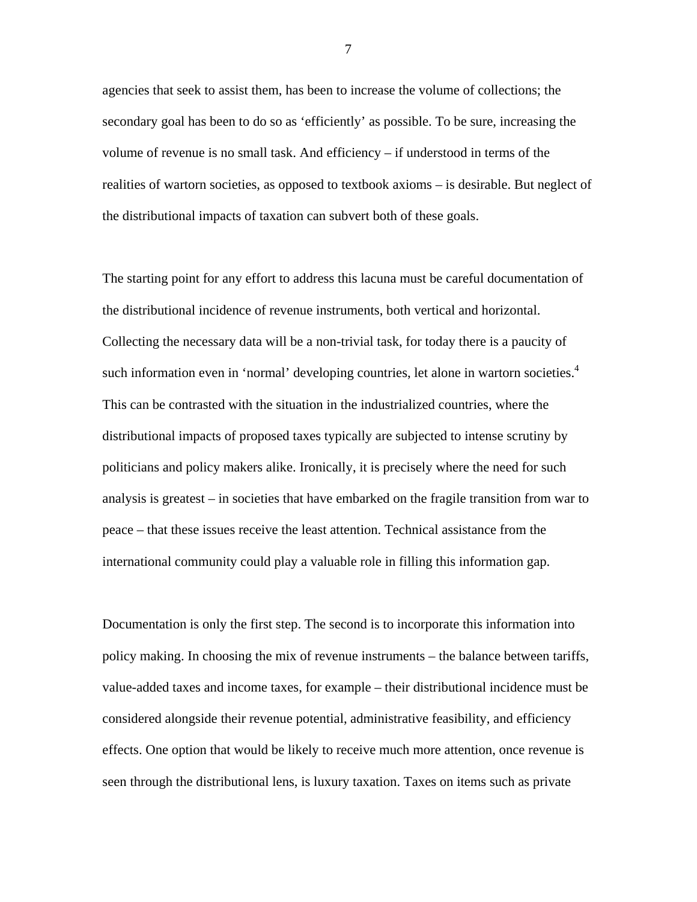agencies that seek to assist them, has been to increase the volume of collections; the secondary goal has been to do so as 'efficiently' as possible. To be sure, increasing the volume of revenue is no small task. And efficiency – if understood in terms of the realities of wartorn societies, as opposed to textbook axioms – is desirable. But neglect of the distributional impacts of taxation can subvert both of these goals.

The starting point for any effort to address this lacuna must be careful documentation of the distributional incidence of revenue instruments, both vertical and horizontal. Collecting the necessary data will be a non-trivial task, for today there is a paucity of such information even in 'normal' developing countries, let alone in wartorn societies.<sup>[4](#page-46-3)</sup> This can be contrasted with the situation in the industrialized countries, where the distributional impacts of proposed taxes typically are subjected to intense scrutiny by politicians and policy makers alike. Ironically, it is precisely where the need for such analysis is greatest – in societies that have embarked on the fragile transition from war to peace – that these issues receive the least attention. Technical assistance from the international community could play a valuable role in filling this information gap.

Documentation is only the first step. The second is to incorporate this information into policy making. In choosing the mix of revenue instruments – the balance between tariffs, value-added taxes and income taxes, for example – their distributional incidence must be considered alongside their revenue potential, administrative feasibility, and efficiency effects. One option that would be likely to receive much more attention, once revenue is seen through the distributional lens, is luxury taxation. Taxes on items such as private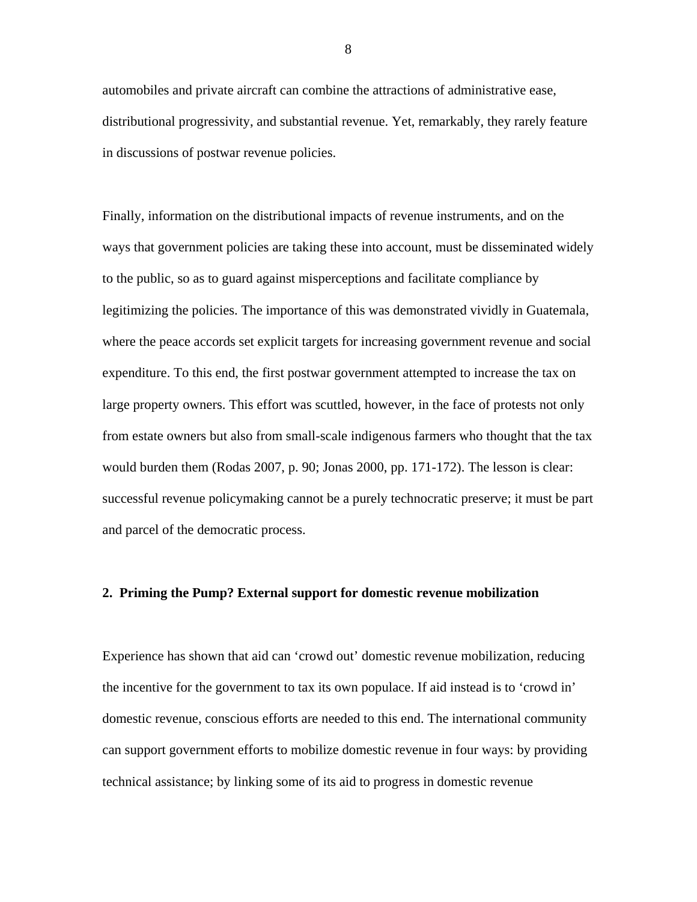automobiles and private aircraft can combine the attractions of administrative ease, distributional progressivity, and substantial revenue. Yet, remarkably, they rarely feature in discussions of postwar revenue policies.

Finally, information on the distributional impacts of revenue instruments, and on the ways that government policies are taking these into account, must be disseminated widely to the public, so as to guard against misperceptions and facilitate compliance by legitimizing the policies. The importance of this was demonstrated vividly in Guatemala, where the peace accords set explicit targets for increasing government revenue and social expenditure. To this end, the first postwar government attempted to increase the tax on large property owners. This effort was scuttled, however, in the face of protests not only from estate owners but also from small-scale indigenous farmers who thought that the tax would burden them (Rodas 2007, p. 90; Jonas 2000, pp. 171-172). The lesson is clear: successful revenue policymaking cannot be a purely technocratic preserve; it must be part and parcel of the democratic process.

#### **2. Priming the Pump? External support for domestic revenue mobilization**

Experience has shown that aid can 'crowd out' domestic revenue mobilization, reducing the incentive for the government to tax its own populace. If aid instead is to 'crowd in' domestic revenue, conscious efforts are needed to this end. The international community can support government efforts to mobilize domestic revenue in four ways: by providing technical assistance; by linking some of its aid to progress in domestic revenue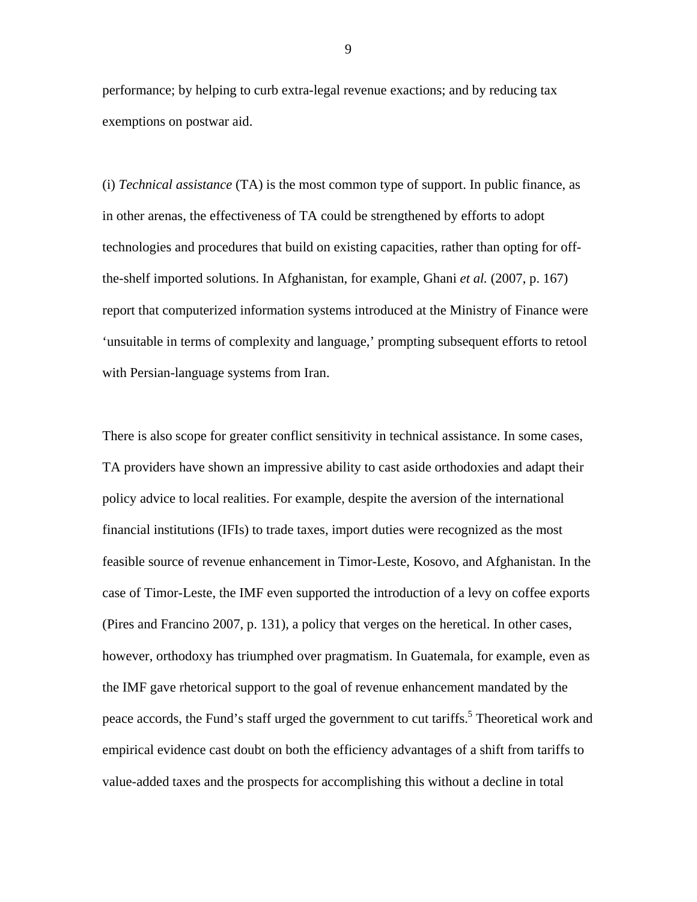performance; by helping to curb extra-legal revenue exactions; and by reducing tax exemptions on postwar aid.

(i) *Technical assistance* (TA) is the most common type of support. In public finance, as in other arenas, the effectiveness of TA could be strengthened by efforts to adopt technologies and procedures that build on existing capacities, rather than opting for offthe-shelf imported solutions. In Afghanistan, for example, Ghani *et al.* (2007, p. 167) report that computerized information systems introduced at the Ministry of Finance were 'unsuitable in terms of complexity and language,' prompting subsequent efforts to retool with Persian-language systems from Iran.

There is also scope for greater conflict sensitivity in technical assistance. In some cases, TA providers have shown an impressive ability to cast aside orthodoxies and adapt their policy advice to local realities. For example, despite the aversion of the international financial institutions (IFIs) to trade taxes, import duties were recognized as the most feasible source of revenue enhancement in Timor-Leste, Kosovo, and Afghanistan. In the case of Timor-Leste, the IMF even supported the introduction of a levy on coffee exports (Pires and Francino 2007, p. 131), a policy that verges on the heretical. In other cases, however, orthodoxy has triumphed over pragmatism. In Guatemala, for example, even as the IMF gave rhetorical support to the goal of revenue enhancement mandated by the peace accords, the Fund's staff urged the government to cut tariffs.<sup>5</sup> Theoretical work and empirical evidence cast doubt on both the efficiency advantages of a shift from tariffs to value-added taxes and the prospects for accomplishing this without a decline in total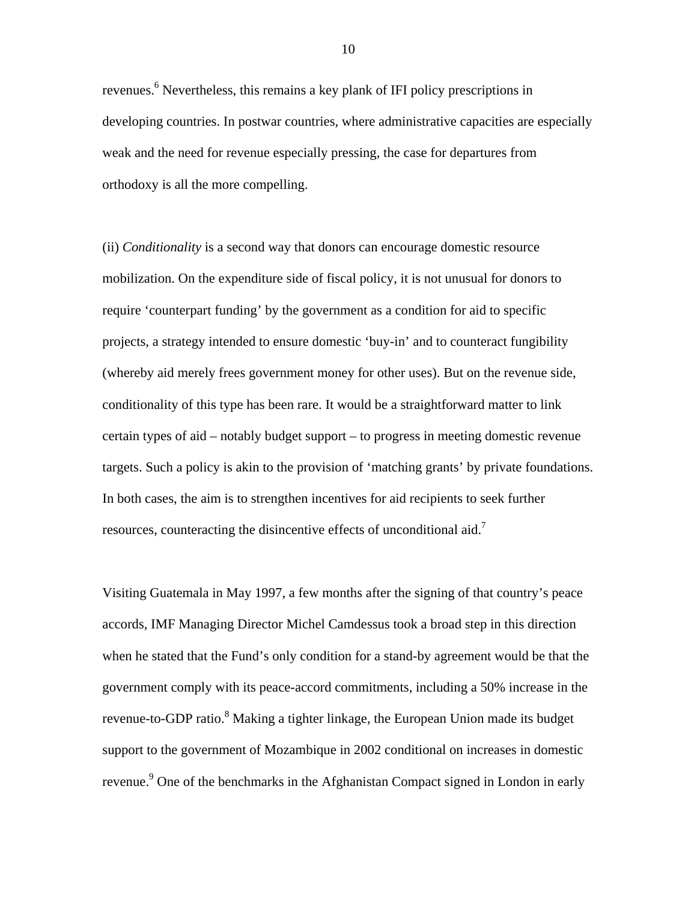revenues.<sup>[6](#page-46-5)</sup> Nevertheless, this remains a key plank of IFI policy prescriptions in developing countries. In postwar countries, where administrative capacities are especially weak and the need for revenue especially pressing, the case for departures from orthodoxy is all the more compelling.

(ii) *Conditionality* is a second way that donors can encourage domestic resource mobilization. On the expenditure side of fiscal policy, it is not unusual for donors to require 'counterpart funding' by the government as a condition for aid to specific projects, a strategy intended to ensure domestic 'buy-in' and to counteract fungibility (whereby aid merely frees government money for other uses). But on the revenue side, conditionality of this type has been rare. It would be a straightforward matter to link certain types of aid – notably budget support – to progress in meeting domestic revenue targets. Such a policy is akin to the provision of 'matching grants' by private foundations. In both cases, the aim is to strengthen incentives for aid recipients to seek further resources, counteracting the disincentive effects of unconditional aid.<sup>7</sup>

Visiting Guatemala in May 1997, a few months after the signing of that country's peace accords, IMF Managing Director Michel Camdessus took a broad step in this direction when he stated that the Fund's only condition for a stand-by agreement would be that the government comply with its peace-accord commitments, including a 50% increase in the revenue-to-GDP ratio.<sup>8</sup> Making a tighter linkage, the European Union made its budget support to the government of Mozambique in 2002 conditional on increases in domestic revenue.<sup>9</sup> One of the benchmarks in the Afghanistan Compact signed in London in early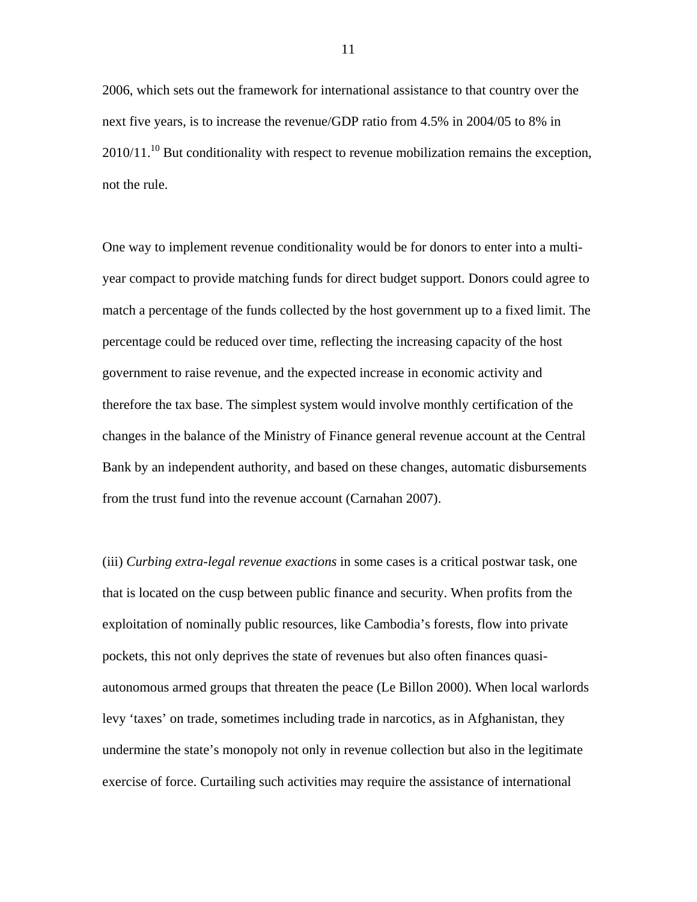2006, which sets out the framework for international assistance to that country over the next five years, is to increase the revenue/GDP ratio from 4.5% in 2004/05 to 8% in  $2010/11$ .<sup>10</sup> But conditionality with respect to revenue mobilization remains the exception, not the rule.

One way to implement revenue conditionality would be for donors to enter into a multiyear compact to provide matching funds for direct budget support. Donors could agree to match a percentage of the funds collected by the host government up to a fixed limit. The percentage could be reduced over time, reflecting the increasing capacity of the host government to raise revenue, and the expected increase in economic activity and therefore the tax base. The simplest system would involve monthly certification of the changes in the balance of the Ministry of Finance general revenue account at the Central Bank by an independent authority, and based on these changes, automatic disbursements from the trust fund into the revenue account (Carnahan 2007).

(iii) *Curbing extra-legal revenue exactions* in some cases is a critical postwar task, one that is located on the cusp between public finance and security. When profits from the exploitation of nominally public resources, like Cambodia's forests, flow into private pockets, this not only deprives the state of revenues but also often finances quasiautonomous armed groups that threaten the peace (Le Billon 2000). When local warlords levy 'taxes' on trade, sometimes including trade in narcotics, as in Afghanistan, they undermine the state's monopoly not only in revenue collection but also in the legitimate exercise of force. Curtailing such activities may require the assistance of international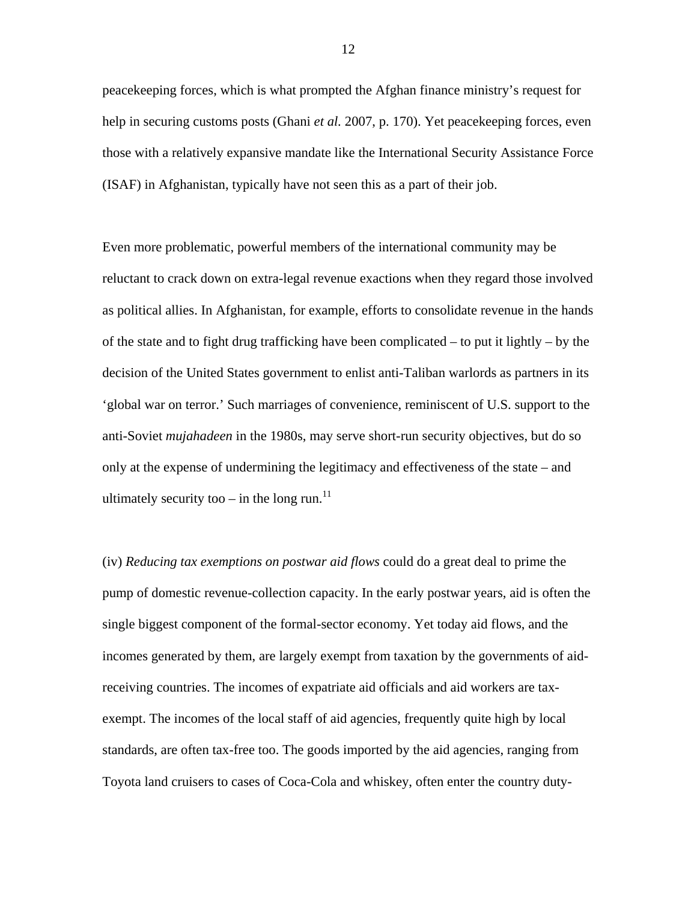peacekeeping forces, which is what prompted the Afghan finance ministry's request for help in securing customs posts (Ghani *et al.* 2007, p. 170). Yet peacekeeping forces, even those with a relatively expansive mandate like the International Security Assistance Force (ISAF) in Afghanistan, typically have not seen this as a part of their job.

Even more problematic, powerful members of the international community may be reluctant to crack down on extra-legal revenue exactions when they regard those involved as political allies. In Afghanistan, for example, efforts to consolidate revenue in the hands of the state and to fight drug trafficking have been complicated – to put it lightly – by the decision of the United States government to enlist anti-Taliban warlords as partners in its 'global war on terror.' Such marriages of convenience, reminiscent of U.S. support to the anti-Soviet *mujahadeen* in the 1980s, may serve short-run security objectives, but do so only at the expense of undermining the legitimacy and effectiveness of the state – and ultimately security too – in the long run.<sup>[11](#page-46-10)</sup>

(iv) *Reducing tax exemptions on postwar aid flows* could do a great deal to prime the pump of domestic revenue-collection capacity. In the early postwar years, aid is often the single biggest component of the formal-sector economy. Yet today aid flows, and the incomes generated by them, are largely exempt from taxation by the governments of aidreceiving countries. The incomes of expatriate aid officials and aid workers are taxexempt. The incomes of the local staff of aid agencies, frequently quite high by local standards, are often tax-free too. The goods imported by the aid agencies, ranging from Toyota land cruisers to cases of Coca-Cola and whiskey, often enter the country duty-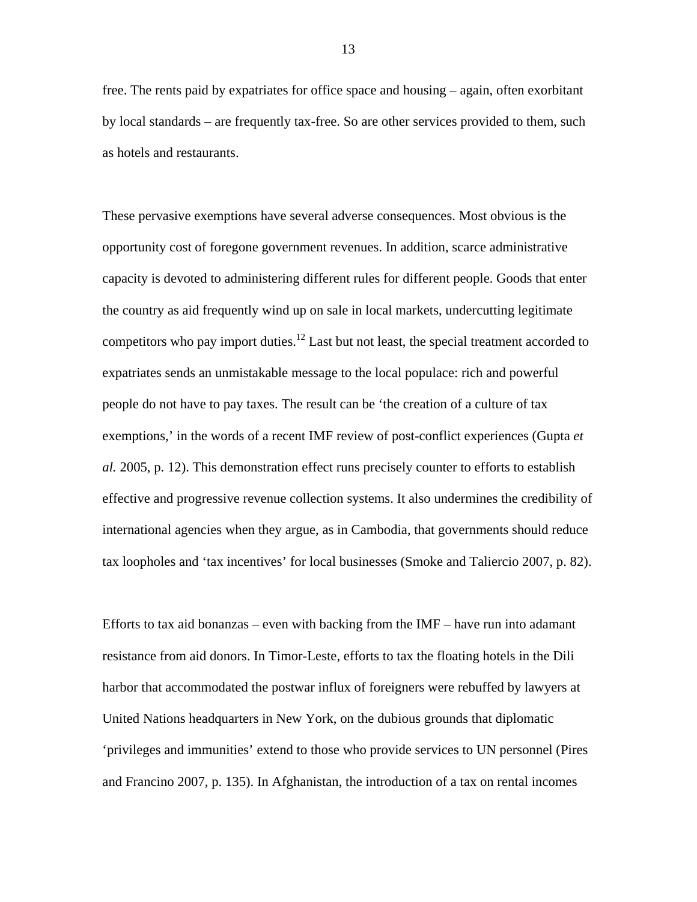free. The rents paid by expatriates for office space and housing – again, often exorbitant by local standards – are frequently tax-free. So are other services provided to them, such as hotels and restaurants.

These pervasive exemptions have several adverse consequences. Most obvious is the opportunity cost of foregone government revenues. In addition, scarce administrative capacity is devoted to administering different rules for different people. Goods that enter the country as aid frequently wind up on sale in local markets, undercutting legitimate competitors who pay import duties.<sup>12</sup> Last but not least, the special treatment accorded to expatriates sends an unmistakable message to the local populace: rich and powerful people do not have to pay taxes. The result can be 'the creation of a culture of tax exemptions,' in the words of a recent IMF review of post-conflict experiences (Gupta *et al.* 2005, p. 12). This demonstration effect runs precisely counter to efforts to establish effective and progressive revenue collection systems. It also undermines the credibility of international agencies when they argue, as in Cambodia, that governments should reduce tax loopholes and 'tax incentives' for local businesses (Smoke and Taliercio 2007, p. 82).

Efforts to tax aid bonanzas – even with backing from the  $IMF$  – have run into adamant resistance from aid donors. In Timor-Leste, efforts to tax the floating hotels in the Dili harbor that accommodated the postwar influx of foreigners were rebuffed by lawyers at United Nations headquarters in New York, on the dubious grounds that diplomatic 'privileges and immunities' extend to those who provide services to UN personnel (Pires and Francino 2007, p. 135). In Afghanistan, the introduction of a tax on rental incomes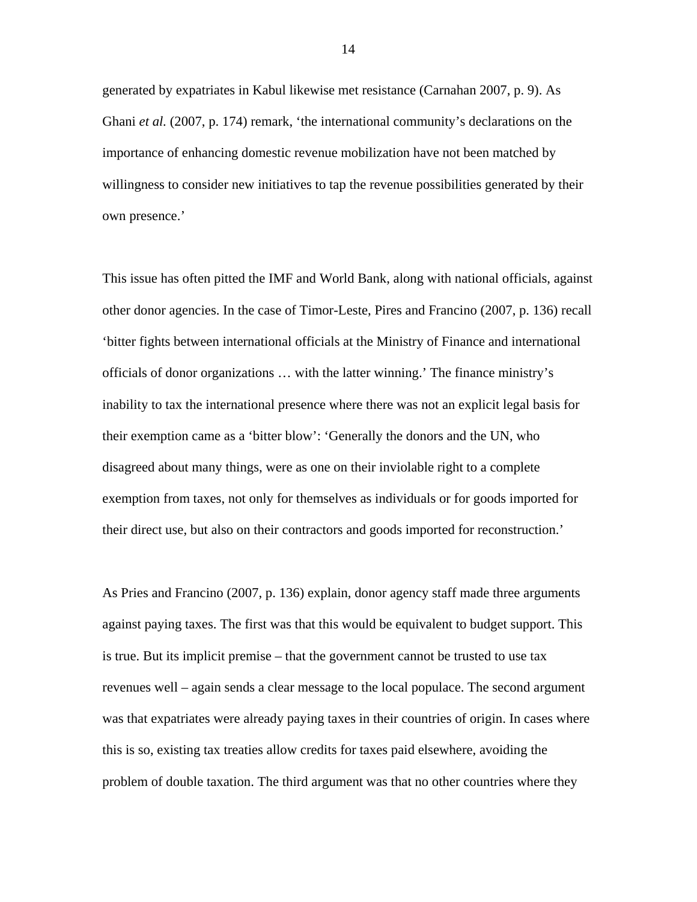generated by expatriates in Kabul likewise met resistance (Carnahan 2007, p. 9). As Ghani *et al.* (2007, p. 174) remark, 'the international community's declarations on the importance of enhancing domestic revenue mobilization have not been matched by willingness to consider new initiatives to tap the revenue possibilities generated by their own presence.'

This issue has often pitted the IMF and World Bank, along with national officials, against other donor agencies. In the case of Timor-Leste, Pires and Francino (2007, p. 136) recall 'bitter fights between international officials at the Ministry of Finance and international officials of donor organizations … with the latter winning.' The finance ministry's inability to tax the international presence where there was not an explicit legal basis for their exemption came as a 'bitter blow': 'Generally the donors and the UN, who disagreed about many things, were as one on their inviolable right to a complete exemption from taxes, not only for themselves as individuals or for goods imported for their direct use, but also on their contractors and goods imported for reconstruction.'

As Pries and Francino (2007, p. 136) explain, donor agency staff made three arguments against paying taxes. The first was that this would be equivalent to budget support. This is true. But its implicit premise – that the government cannot be trusted to use tax revenues well – again sends a clear message to the local populace. The second argument was that expatriates were already paying taxes in their countries of origin. In cases where this is so, existing tax treaties allow credits for taxes paid elsewhere, avoiding the problem of double taxation. The third argument was that no other countries where they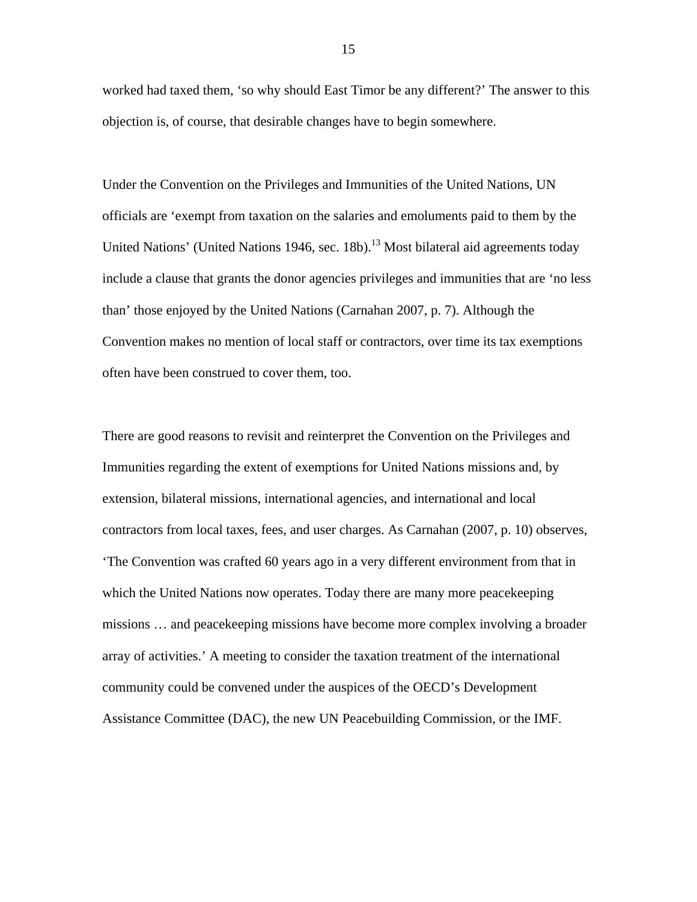worked had taxed them, 'so why should East Timor be any different?' The answer to this objection is, of course, that desirable changes have to begin somewhere.

Under the Convention on the Privileges and Immunities of the United Nations, UN officials are 'exempt from taxation on the salaries and emoluments paid to them by the United Nations' (United Nations 1946, sec. 18b).<sup>13</sup> Most bilateral aid agreements today include a clause that grants the donor agencies privileges and immunities that are 'no less than' those enjoyed by the United Nations (Carnahan 2007, p. 7). Although the Convention makes no mention of local staff or contractors, over time its tax exemptions often have been construed to cover them, too.

There are good reasons to revisit and reinterpret the Convention on the Privileges and Immunities regarding the extent of exemptions for United Nations missions and, by extension, bilateral missions, international agencies, and international and local contractors from local taxes, fees, and user charges. As Carnahan (2007, p. 10) observes, 'The Convention was crafted 60 years ago in a very different environment from that in which the United Nations now operates. Today there are many more peacekeeping missions … and peacekeeping missions have become more complex involving a broader array of activities.' A meeting to consider the taxation treatment of the international community could be convened under the auspices of the OECD's Development Assistance Committee (DAC), the new UN Peacebuilding Commission, or the IMF.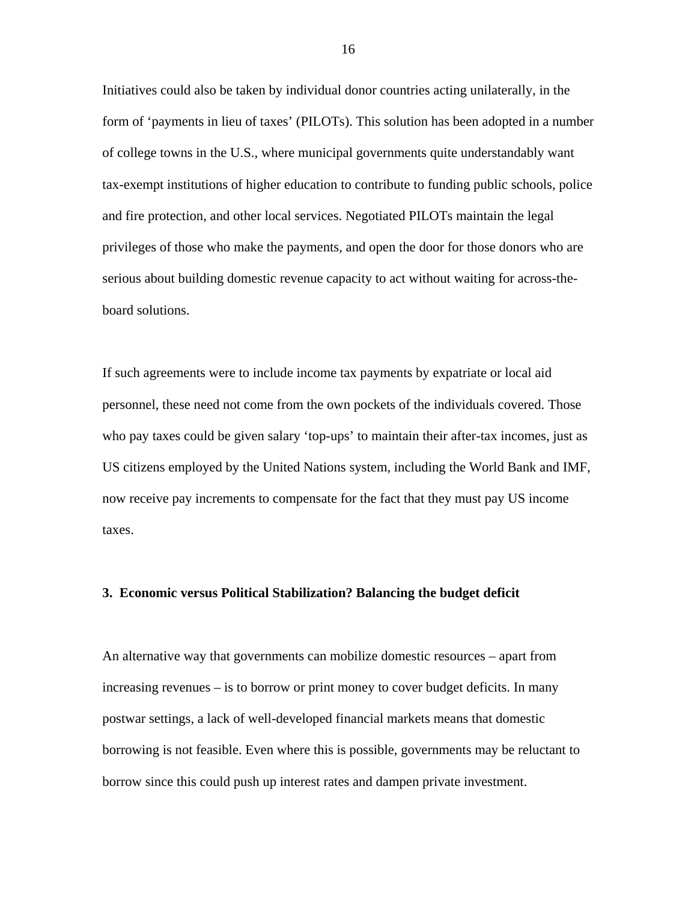Initiatives could also be taken by individual donor countries acting unilaterally, in the form of 'payments in lieu of taxes' (PILOTs). This solution has been adopted in a number of college towns in the U.S., where municipal governments quite understandably want tax-exempt institutions of higher education to contribute to funding public schools, police and fire protection, and other local services. Negotiated PILOTs maintain the legal privileges of those who make the payments, and open the door for those donors who are serious about building domestic revenue capacity to act without waiting for across-theboard solutions.

If such agreements were to include income tax payments by expatriate or local aid personnel, these need not come from the own pockets of the individuals covered. Those who pay taxes could be given salary 'top-ups' to maintain their after-tax incomes, just as US citizens employed by the United Nations system, including the World Bank and IMF, now receive pay increments to compensate for the fact that they must pay US income taxes.

#### **3. Economic versus Political Stabilization? Balancing the budget deficit**

An alternative way that governments can mobilize domestic resources – apart from increasing revenues – is to borrow or print money to cover budget deficits. In many postwar settings, a lack of well-developed financial markets means that domestic borrowing is not feasible. Even where this is possible, governments may be reluctant to borrow since this could push up interest rates and dampen private investment.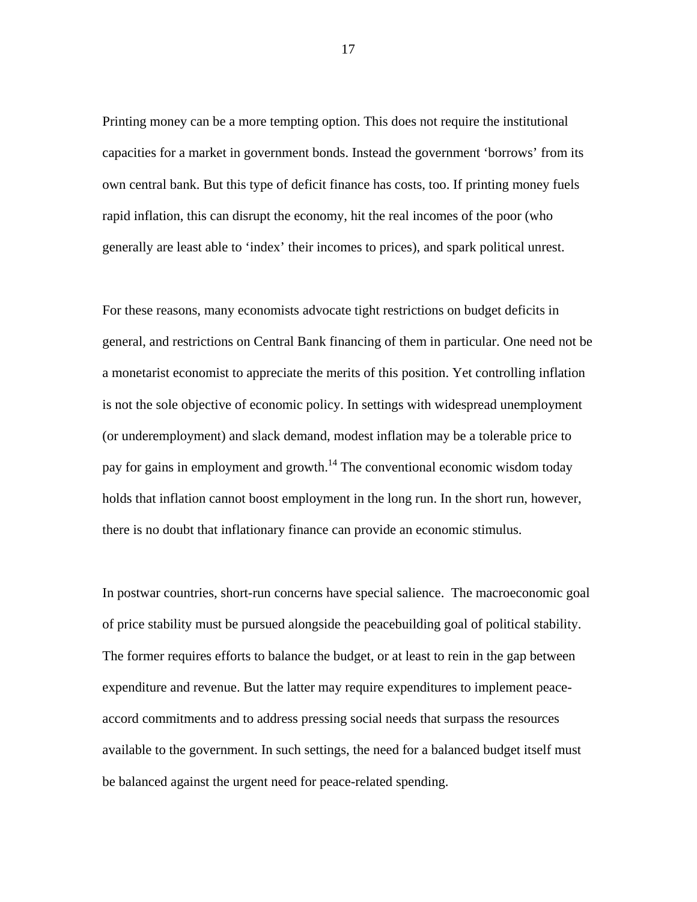Printing money can be a more tempting option. This does not require the institutional capacities for a market in government bonds. Instead the government 'borrows' from its own central bank. But this type of deficit finance has costs, too. If printing money fuels rapid inflation, this can disrupt the economy, hit the real incomes of the poor (who generally are least able to 'index' their incomes to prices), and spark political unrest.

For these reasons, many economists advocate tight restrictions on budget deficits in general, and restrictions on Central Bank financing of them in particular. One need not be a monetarist economist to appreciate the merits of this position. Yet controlling inflation is not the sole objective of economic policy. In settings with widespread unemployment (or underemployment) and slack demand, modest inflation may be a tolerable price to pay for gains in employment and growth.<sup>14</sup> The conventional economic wisdom today holds that inflation cannot boost employment in the long run. In the short run, however, there is no doubt that inflationary finance can provide an economic stimulus.

In postwar countries, short-run concerns have special salience. The macroeconomic goal of price stability must be pursued alongside the peacebuilding goal of political stability. The former requires efforts to balance the budget, or at least to rein in the gap between expenditure and revenue. But the latter may require expenditures to implement peaceaccord commitments and to address pressing social needs that surpass the resources available to the government. In such settings, the need for a balanced budget itself must be balanced against the urgent need for peace-related spending.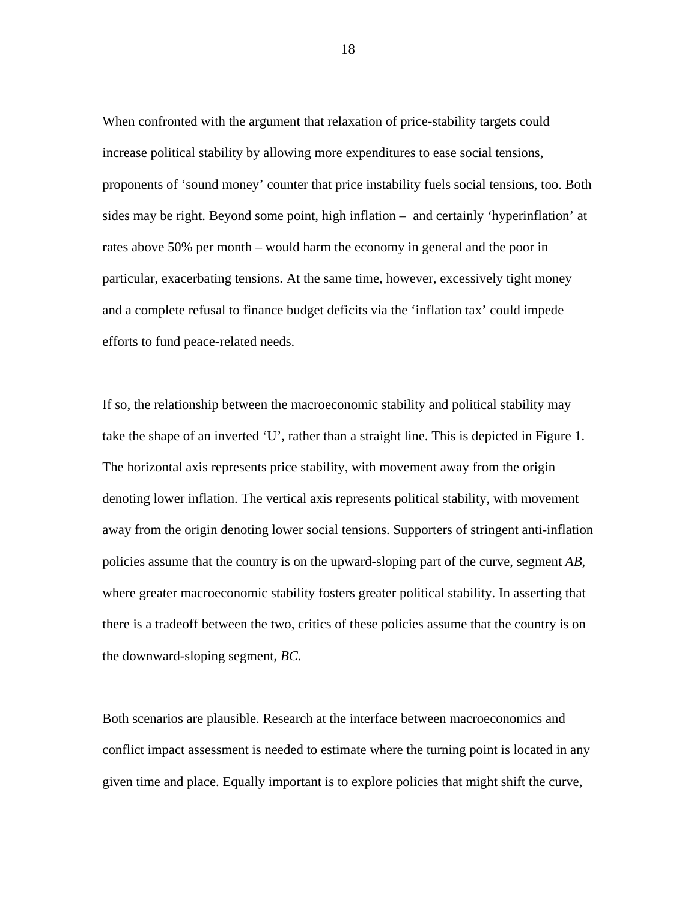When confronted with the argument that relaxation of price-stability targets could increase political stability by allowing more expenditures to ease social tensions, proponents of 'sound money' counter that price instability fuels social tensions, too. Both sides may be right. Beyond some point, high inflation – and certainly 'hyperinflation' at rates above 50% per month – would harm the economy in general and the poor in particular, exacerbating tensions. At the same time, however, excessively tight money and a complete refusal to finance budget deficits via the 'inflation tax' could impede efforts to fund peace-related needs.

If so, the relationship between the macroeconomic stability and political stability may take the shape of an inverted 'U', rather than a straight line. This is depicted in Figure 1. The horizontal axis represents price stability, with movement away from the origin denoting lower inflation. The vertical axis represents political stability, with movement away from the origin denoting lower social tensions. Supporters of stringent anti-inflation policies assume that the country is on the upward-sloping part of the curve, segment *AB*, where greater macroeconomic stability fosters greater political stability. In asserting that there is a tradeoff between the two, critics of these policies assume that the country is on the downward-sloping segment, *BC.*

Both scenarios are plausible. Research at the interface between macroeconomics and conflict impact assessment is needed to estimate where the turning point is located in any given time and place. Equally important is to explore policies that might shift the curve,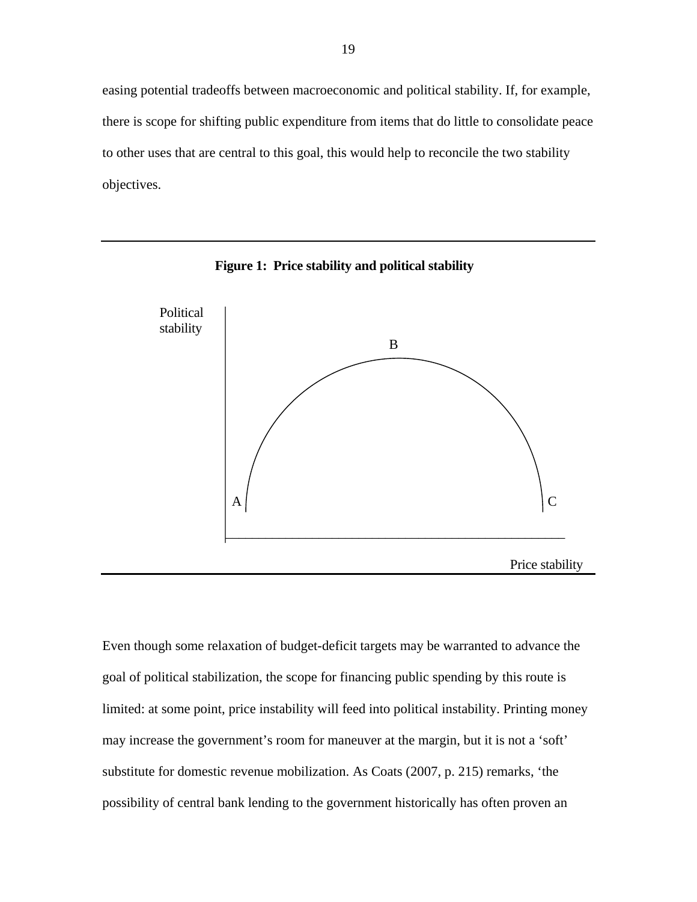easing potential tradeoffs between macroeconomic and political stability. If, for example, there is scope for shifting public expenditure from items that do little to consolidate peace to other uses that are central to this goal, this would help to reconcile the two stability objectives.



**Figure 1: Price stability and political stability**

Even though some relaxation of budget-deficit targets may be warranted to advance the goal of political stabilization, the scope for financing public spending by this route is limited: at some point, price instability will feed into political instability. Printing money may increase the government's room for maneuver at the margin, but it is not a 'soft' substitute for domestic revenue mobilization. As Coats (2007, p. 215) remarks, 'the possibility of central bank lending to the government historically has often proven an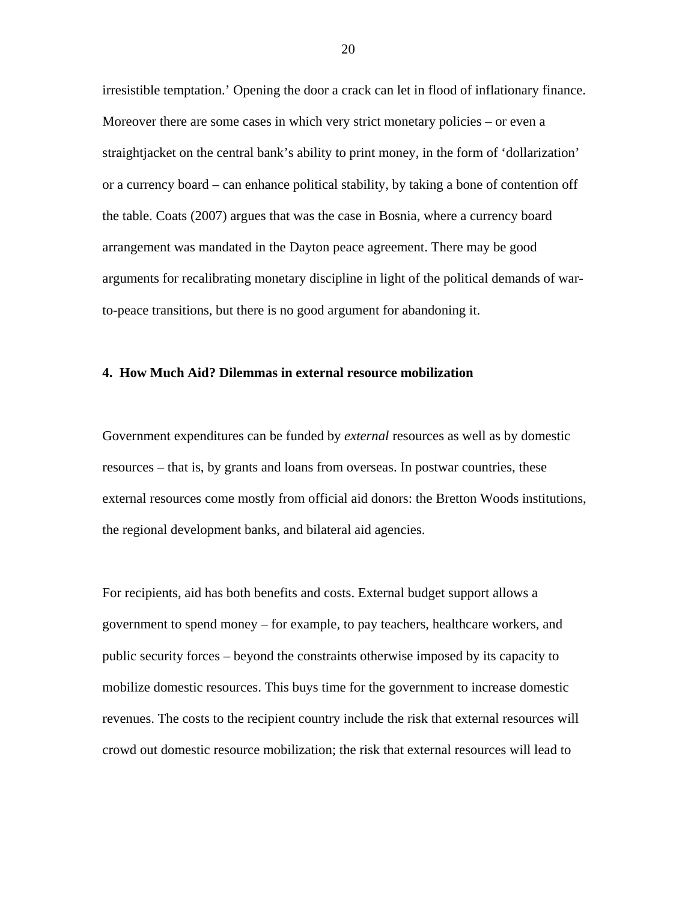irresistible temptation.' Opening the door a crack can let in flood of inflationary finance. Moreover there are some cases in which very strict monetary policies – or even a straightjacket on the central bank's ability to print money, in the form of 'dollarization' or a currency board – can enhance political stability, by taking a bone of contention off the table. Coats (2007) argues that was the case in Bosnia, where a currency board arrangement was mandated in the Dayton peace agreement. There may be good arguments for recalibrating monetary discipline in light of the political demands of warto-peace transitions, but there is no good argument for abandoning it.

#### **4. How Much Aid? Dilemmas in external resource mobilization**

Government expenditures can be funded by *external* resources as well as by domestic resources – that is, by grants and loans from overseas. In postwar countries, these external resources come mostly from official aid donors: the Bretton Woods institutions, the regional development banks, and bilateral aid agencies.

For recipients, aid has both benefits and costs. External budget support allows a government to spend money – for example, to pay teachers, healthcare workers, and public security forces – beyond the constraints otherwise imposed by its capacity to mobilize domestic resources. This buys time for the government to increase domestic revenues. The costs to the recipient country include the risk that external resources will crowd out domestic resource mobilization; the risk that external resources will lead to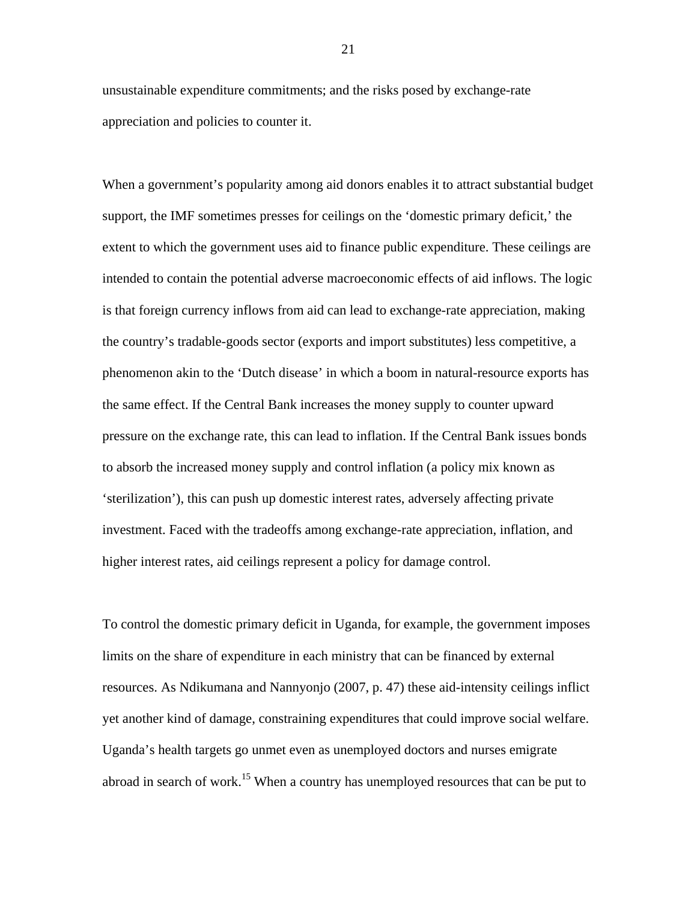unsustainable expenditure commitments; and the risks posed by exchange-rate appreciation and policies to counter it.

When a government's popularity among aid donors enables it to attract substantial budget support, the IMF sometimes presses for ceilings on the 'domestic primary deficit,' the extent to which the government uses aid to finance public expenditure. These ceilings are intended to contain the potential adverse macroeconomic effects of aid inflows. The logic is that foreign currency inflows from aid can lead to exchange-rate appreciation, making the country's tradable-goods sector (exports and import substitutes) less competitive, a phenomenon akin to the 'Dutch disease' in which a boom in natural-resource exports has the same effect. If the Central Bank increases the money supply to counter upward pressure on the exchange rate, this can lead to inflation. If the Central Bank issues bonds to absorb the increased money supply and control inflation (a policy mix known as 'sterilization'), this can push up domestic interest rates, adversely affecting private investment. Faced with the tradeoffs among exchange-rate appreciation, inflation, and higher interest rates, aid ceilings represent a policy for damage control.

To control the domestic primary deficit in Uganda, for example, the government imposes limits on the share of expenditure in each ministry that can be financed by external resources. As Ndikumana and Nannyonjo (2007, p. 47) these aid-intensity ceilings inflict yet another kind of damage, constraining expenditures that could improve social welfare. Uganda's health targets go unmet even as unemployed doctors and nurses emigrate abroad in search of work.<sup>15</sup> When a country has unemployed resources that can be put to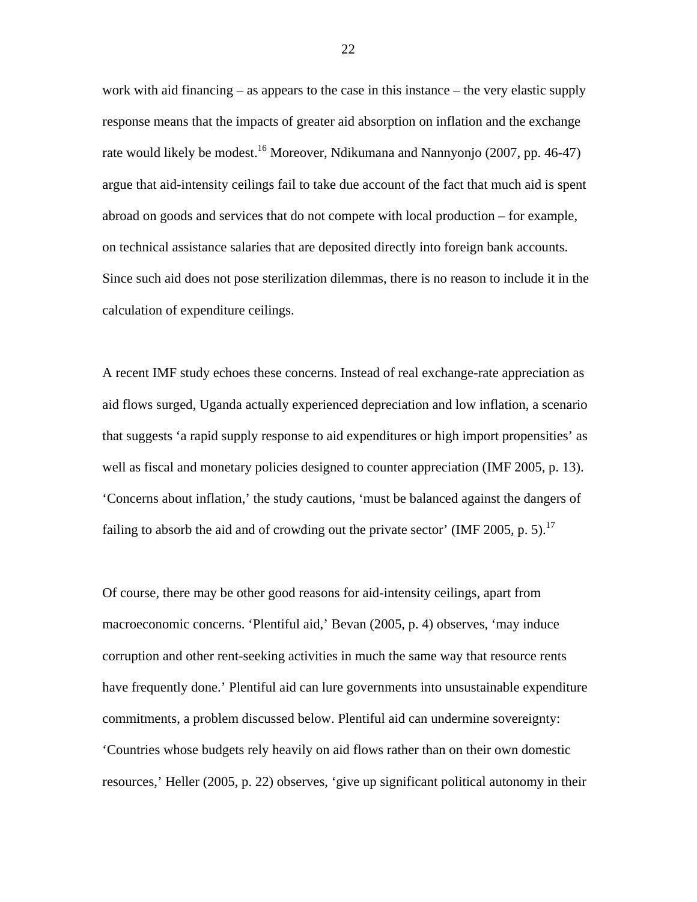work with aid financing – as appears to the case in this instance – the very elastic supply response means that the impacts of greater aid absorption on inflation and the exchange rate would likely be modest.<sup>16</sup> Moreover, Ndikumana and Nannyonjo (2007, pp. 46-47) argue that aid-intensity ceilings fail to take due account of the fact that much aid is spent abroad on goods and services that do not compete with local production – for example, on technical assistance salaries that are deposited directly into foreign bank accounts. Since such aid does not pose sterilization dilemmas, there is no reason to include it in the calculation of expenditure ceilings.

A recent IMF study echoes these concerns. Instead of real exchange-rate appreciation as aid flows surged, Uganda actually experienced depreciation and low inflation, a scenario that suggests 'a rapid supply response to aid expenditures or high import propensities' as well as fiscal and monetary policies designed to counter appreciation (IMF 2005, p. 13). 'Concerns about inflation,' the study cautions, 'must be balanced against the dangers of failing to absorb the aid and of crowding out the private sector' (IMF 2005, p. 5).<sup>[17](#page-46-16)</sup>

Of course, there may be other good reasons for aid-intensity ceilings, apart from macroeconomic concerns. 'Plentiful aid,' Bevan (2005, p. 4) observes, 'may induce corruption and other rent-seeking activities in much the same way that resource rents have frequently done.' Plentiful aid can lure governments into unsustainable expenditure commitments, a problem discussed below. Plentiful aid can undermine sovereignty: 'Countries whose budgets rely heavily on aid flows rather than on their own domestic resources,' Heller (2005, p. 22) observes, 'give up significant political autonomy in their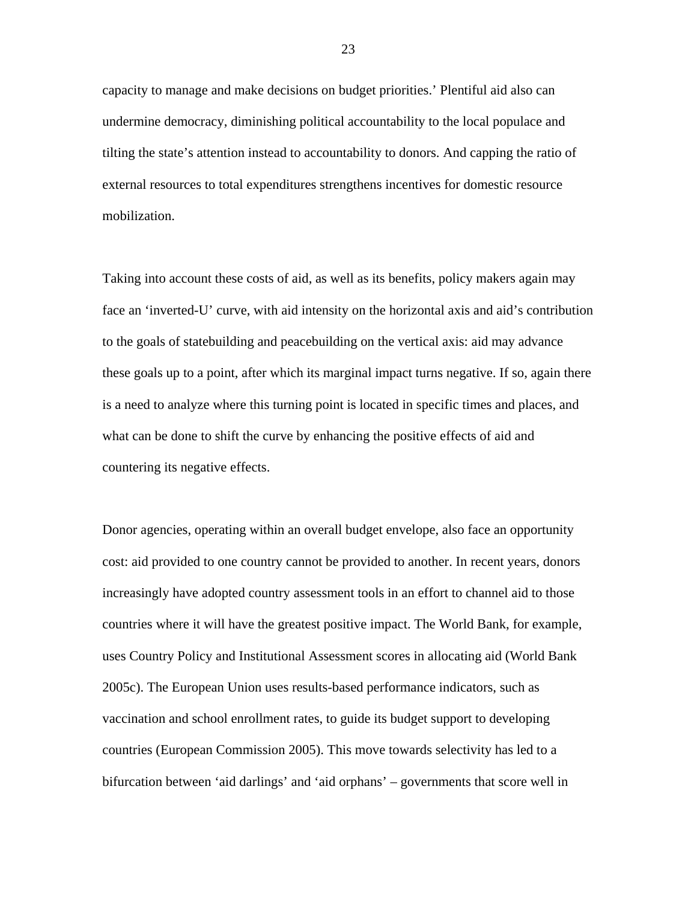capacity to manage and make decisions on budget priorities.' Plentiful aid also can undermine democracy, diminishing political accountability to the local populace and tilting the state's attention instead to accountability to donors. And capping the ratio of external resources to total expenditures strengthens incentives for domestic resource mobilization.

Taking into account these costs of aid, as well as its benefits, policy makers again may face an 'inverted-U' curve, with aid intensity on the horizontal axis and aid's contribution to the goals of statebuilding and peacebuilding on the vertical axis: aid may advance these goals up to a point, after which its marginal impact turns negative. If so, again there is a need to analyze where this turning point is located in specific times and places, and what can be done to shift the curve by enhancing the positive effects of aid and countering its negative effects.

Donor agencies, operating within an overall budget envelope, also face an opportunity cost: aid provided to one country cannot be provided to another. In recent years, donors increasingly have adopted country assessment tools in an effort to channel aid to those countries where it will have the greatest positive impact. The World Bank, for example, uses Country Policy and Institutional Assessment scores in allocating aid (World Bank 2005c). The European Union uses results-based performance indicators, such as vaccination and school enrollment rates, to guide its budget support to developing countries (European Commission 2005). This move towards selectivity has led to a bifurcation between 'aid darlings' and 'aid orphans' – governments that score well in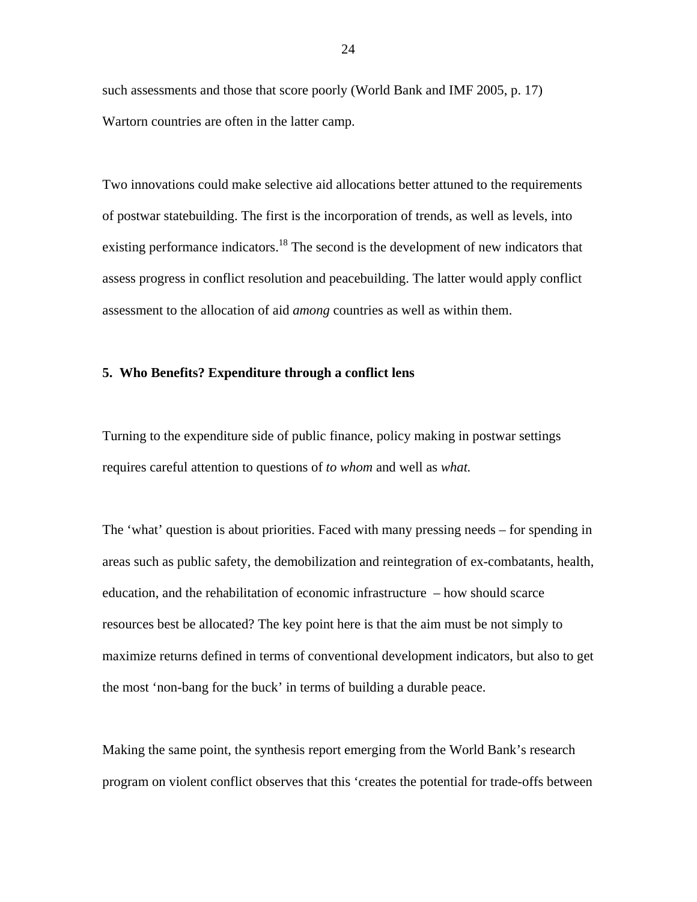such assessments and those that score poorly (World Bank and IMF 2005, p. 17) Wartorn countries are often in the latter camp.

Two innovations could make selective aid allocations better attuned to the requirements of postwar statebuilding. The first is the incorporation of trends, as well as levels, into existing performance indicators.<sup>18</sup> The second is the development of new indicators that assess progress in conflict resolution and peacebuilding. The latter would apply conflict assessment to the allocation of aid *among* countries as well as within them.

#### **5. Who Benefits? Expenditure through a conflict lens**

Turning to the expenditure side of public finance, policy making in postwar settings requires careful attention to questions of *to whom* and well as *what.* 

The 'what' question is about priorities. Faced with many pressing needs – for spending in areas such as public safety, the demobilization and reintegration of ex-combatants, health, education, and the rehabilitation of economic infrastructure – how should scarce resources best be allocated? The key point here is that the aim must be not simply to maximize returns defined in terms of conventional development indicators, but also to get the most 'non-bang for the buck' in terms of building a durable peace.

Making the same point, the synthesis report emerging from the World Bank's research program on violent conflict observes that this 'creates the potential for trade-offs between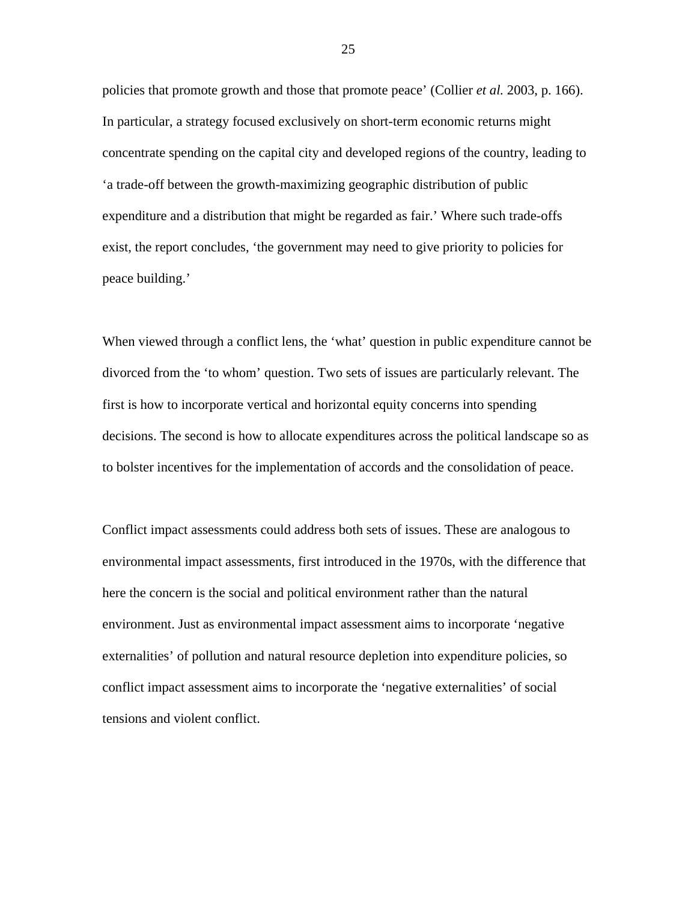policies that promote growth and those that promote peace' (Collier *et al.* 2003, p. 166). In particular, a strategy focused exclusively on short-term economic returns might concentrate spending on the capital city and developed regions of the country, leading to 'a trade-off between the growth-maximizing geographic distribution of public expenditure and a distribution that might be regarded as fair.' Where such trade-offs exist, the report concludes, 'the government may need to give priority to policies for peace building.'

When viewed through a conflict lens, the 'what' question in public expenditure cannot be divorced from the 'to whom' question. Two sets of issues are particularly relevant. The first is how to incorporate vertical and horizontal equity concerns into spending decisions. The second is how to allocate expenditures across the political landscape so as to bolster incentives for the implementation of accords and the consolidation of peace.

Conflict impact assessments could address both sets of issues. These are analogous to environmental impact assessments, first introduced in the 1970s, with the difference that here the concern is the social and political environment rather than the natural environment. Just as environmental impact assessment aims to incorporate 'negative externalities' of pollution and natural resource depletion into expenditure policies, so conflict impact assessment aims to incorporate the 'negative externalities' of social tensions and violent conflict.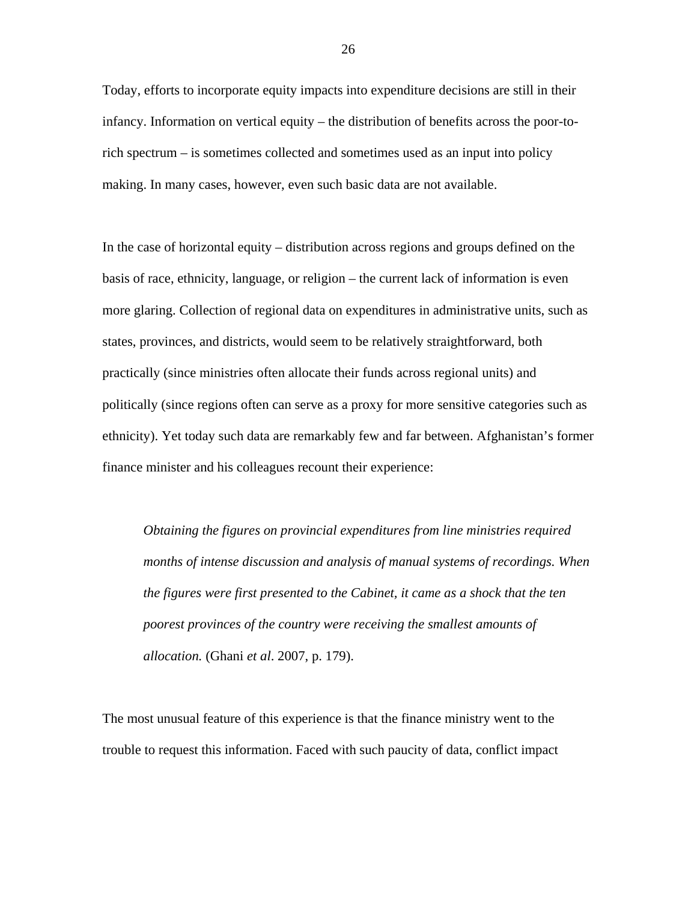Today, efforts to incorporate equity impacts into expenditure decisions are still in their infancy. Information on vertical equity – the distribution of benefits across the poor-torich spectrum – is sometimes collected and sometimes used as an input into policy making. In many cases, however, even such basic data are not available.

In the case of horizontal equity – distribution across regions and groups defined on the basis of race, ethnicity, language, or religion – the current lack of information is even more glaring. Collection of regional data on expenditures in administrative units, such as states, provinces, and districts, would seem to be relatively straightforward, both practically (since ministries often allocate their funds across regional units) and politically (since regions often can serve as a proxy for more sensitive categories such as ethnicity). Yet today such data are remarkably few and far between. Afghanistan's former finance minister and his colleagues recount their experience:

*Obtaining the figures on provincial expenditures from line ministries required months of intense discussion and analysis of manual systems of recordings. When the figures were first presented to the Cabinet, it came as a shock that the ten poorest provinces of the country were receiving the smallest amounts of allocation.* (Ghani *et al*. 2007, p. 179).

The most unusual feature of this experience is that the finance ministry went to the trouble to request this information. Faced with such paucity of data, conflict impact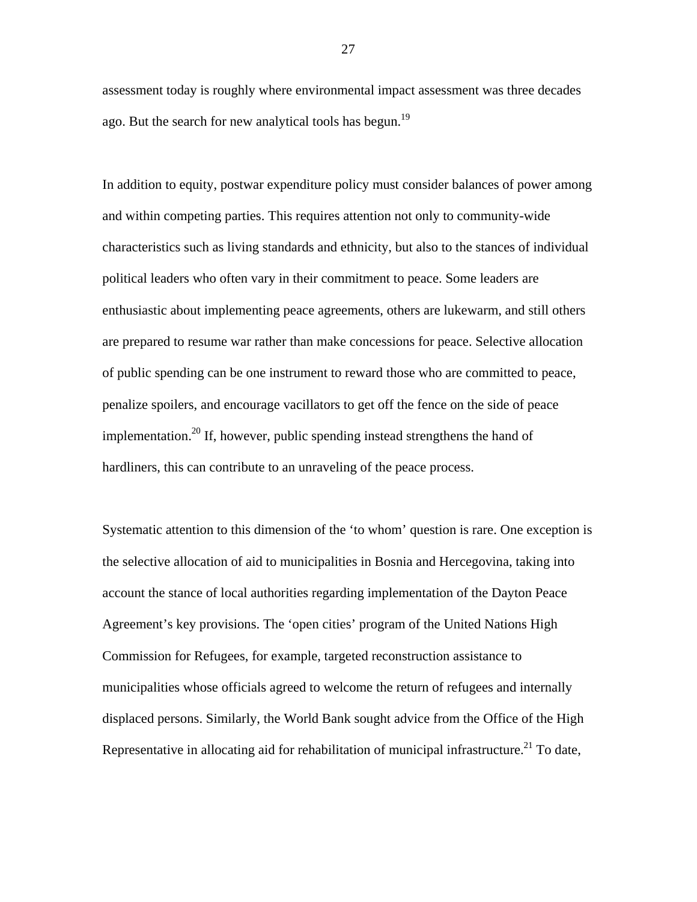assessment today is roughly where environmental impact assessment was three decades ago. But the search for new analytical tools has begun.<sup>19</sup>

In addition to equity, postwar expenditure policy must consider balances of power among and within competing parties. This requires attention not only to community-wide characteristics such as living standards and ethnicity, but also to the stances of individual political leaders who often vary in their commitment to peace. Some leaders are enthusiastic about implementing peace agreements, others are lukewarm, and still others are prepared to resume war rather than make concessions for peace. Selective allocation of public spending can be one instrument to reward those who are committed to peace, penalize spoilers, and encourage vacillators to get off the fence on the side of peace implementation.<sup>20</sup> If, however, public spending instead strengthens the hand of hardliners, this can contribute to an unraveling of the peace process.

Systematic attention to this dimension of the 'to whom' question is rare. One exception is the selective allocation of aid to municipalities in Bosnia and Hercegovina, taking into account the stance of local authorities regarding implementation of the Dayton Peace Agreement's key provisions. The 'open cities' program of the United Nations High Commission for Refugees, for example, targeted reconstruction assistance to municipalities whose officials agreed to welcome the return of refugees and internally displaced persons. Similarly, the World Bank sought advice from the Office of the High Representative in allocating aid for rehabilitation of municipal infrastructure.<sup>21</sup> To date,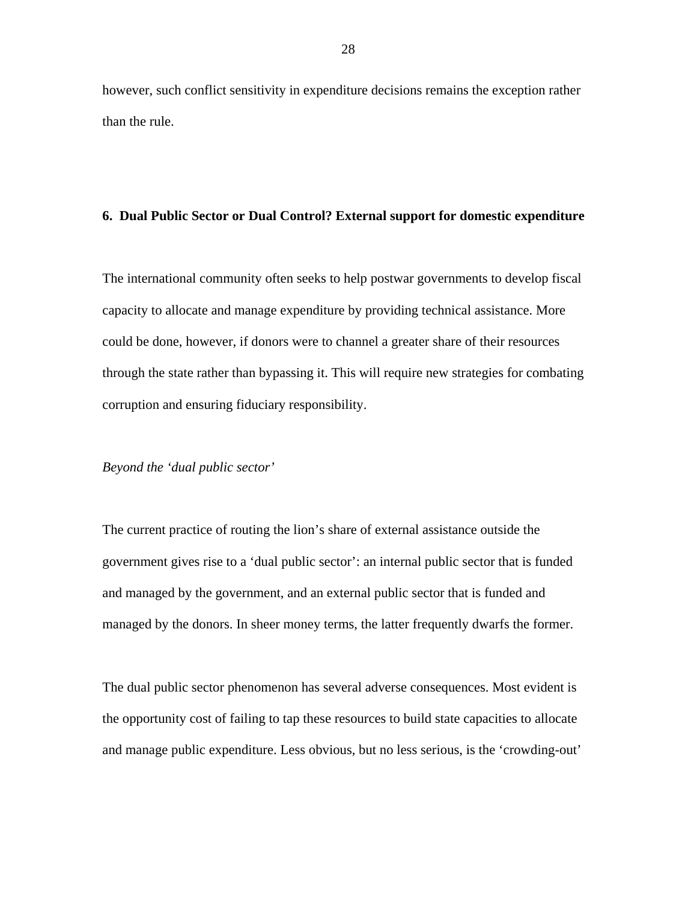however, such conflict sensitivity in expenditure decisions remains the exception rather than the rule.

#### **6. Dual Public Sector or Dual Control? External support for domestic expenditure**

The international community often seeks to help postwar governments to develop fiscal capacity to allocate and manage expenditure by providing technical assistance. More could be done, however, if donors were to channel a greater share of their resources through the state rather than bypassing it. This will require new strategies for combating corruption and ensuring fiduciary responsibility.

#### *Beyond the 'dual public sector'*

The current practice of routing the lion's share of external assistance outside the government gives rise to a 'dual public sector': an internal public sector that is funded and managed by the government, and an external public sector that is funded and managed by the donors. In sheer money terms, the latter frequently dwarfs the former.

The dual public sector phenomenon has several adverse consequences. Most evident is the opportunity cost of failing to tap these resources to build state capacities to allocate and manage public expenditure. Less obvious, but no less serious, is the 'crowding-out'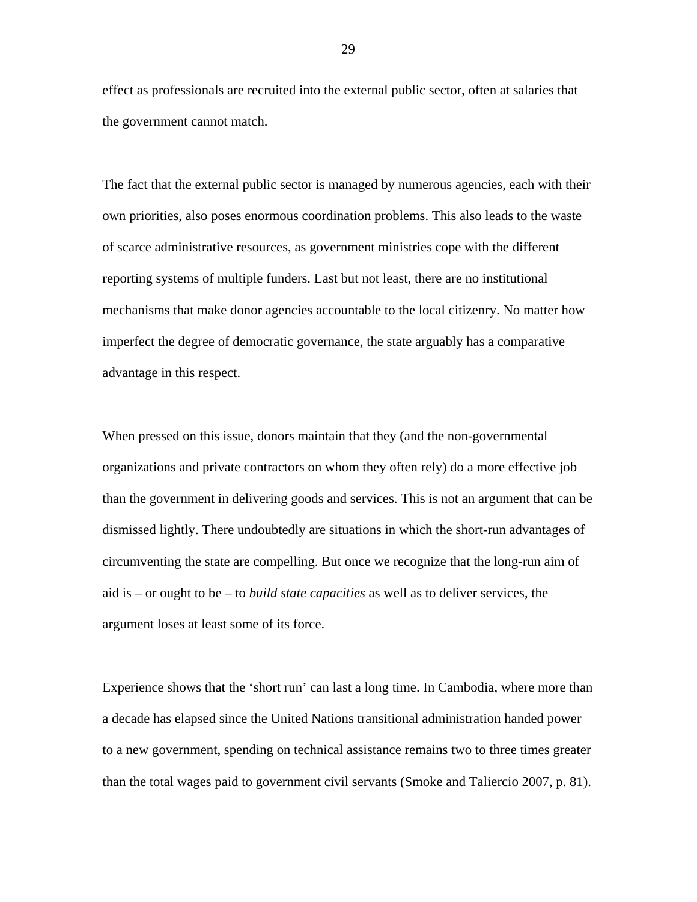effect as professionals are recruited into the external public sector, often at salaries that the government cannot match.

The fact that the external public sector is managed by numerous agencies, each with their own priorities, also poses enormous coordination problems. This also leads to the waste of scarce administrative resources, as government ministries cope with the different reporting systems of multiple funders. Last but not least, there are no institutional mechanisms that make donor agencies accountable to the local citizenry. No matter how imperfect the degree of democratic governance, the state arguably has a comparative advantage in this respect.

When pressed on this issue, donors maintain that they (and the non-governmental organizations and private contractors on whom they often rely) do a more effective job than the government in delivering goods and services. This is not an argument that can be dismissed lightly. There undoubtedly are situations in which the short-run advantages of circumventing the state are compelling. But once we recognize that the long-run aim of aid is – or ought to be – to *build state capacities* as well as to deliver services, the argument loses at least some of its force.

Experience shows that the 'short run' can last a long time. In Cambodia, where more than a decade has elapsed since the United Nations transitional administration handed power to a new government, spending on technical assistance remains two to three times greater than the total wages paid to government civil servants (Smoke and Taliercio 2007, p. 81).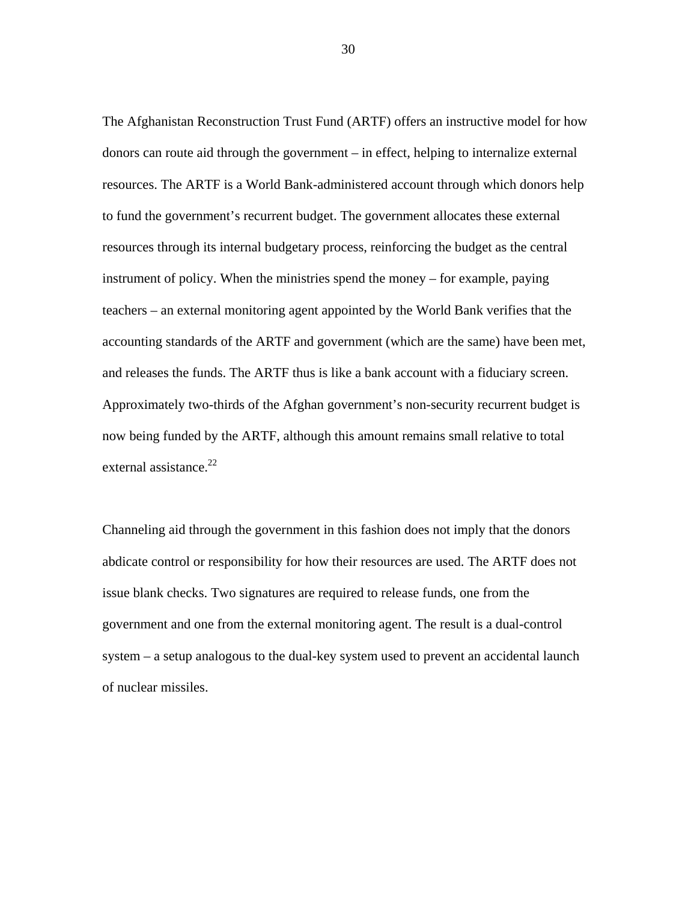The Afghanistan Reconstruction Trust Fund (ARTF) offers an instructive model for how donors can route aid through the government – in effect, helping to internalize external resources. The ARTF is a World Bank-administered account through which donors help to fund the government's recurrent budget. The government allocates these external resources through its internal budgetary process, reinforcing the budget as the central instrument of policy. When the ministries spend the money – for example, paying teachers – an external monitoring agent appointed by the World Bank verifies that the accounting standards of the ARTF and government (which are the same) have been met, and releases the funds. The ARTF thus is like a bank account with a fiduciary screen. Approximately two-thirds of the Afghan government's non-security recurrent budget is now being funded by the ARTF, although this amount remains small relative to total external assistance.<sup>[22](#page-46-21)</sup>

Channeling aid through the government in this fashion does not imply that the donors abdicate control or responsibility for how their resources are used. The ARTF does not issue blank checks. Two signatures are required to release funds, one from the government and one from the external monitoring agent. The result is a dual-control system – a setup analogous to the dual-key system used to prevent an accidental launch of nuclear missiles.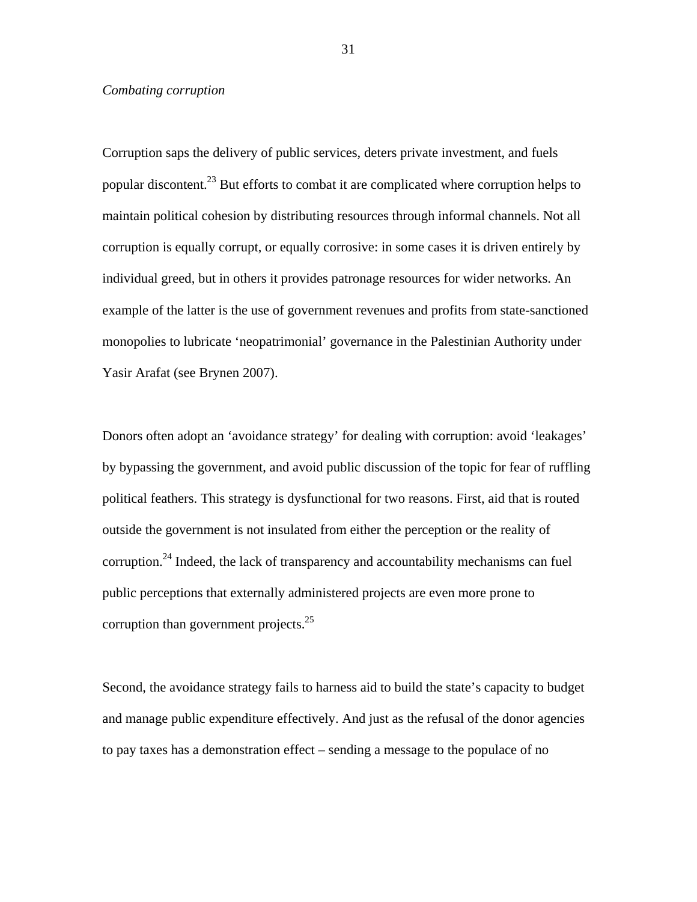#### *Combating corruption*

Corruption saps the delivery of public services, deters private investment, and fuels popular discontent[.23](#page-46-22) But efforts to combat it are complicated where corruption helps to maintain political cohesion by distributing resources through informal channels. Not all corruption is equally corrupt, or equally corrosive: in some cases it is driven entirely by individual greed, but in others it provides patronage resources for wider networks. An example of the latter is the use of government revenues and profits from state-sanctioned monopolies to lubricate 'neopatrimonial' governance in the Palestinian Authority under Yasir Arafat (see Brynen 2007).

Donors often adopt an 'avoidance strategy' for dealing with corruption: avoid 'leakages' by bypassing the government, and avoid public discussion of the topic for fear of ruffling political feathers. This strategy is dysfunctional for two reasons. First, aid that is routed outside the government is not insulated from either the perception or the reality of corruption.<sup>24</sup> Indeed, the lack of transparency and accountability mechanisms can fuel public perceptions that externally administered projects are even more prone to corruption than government projects. $25$ 

Second, the avoidance strategy fails to harness aid to build the state's capacity to budget and manage public expenditure effectively. And just as the refusal of the donor agencies to pay taxes has a demonstration effect – sending a message to the populace of no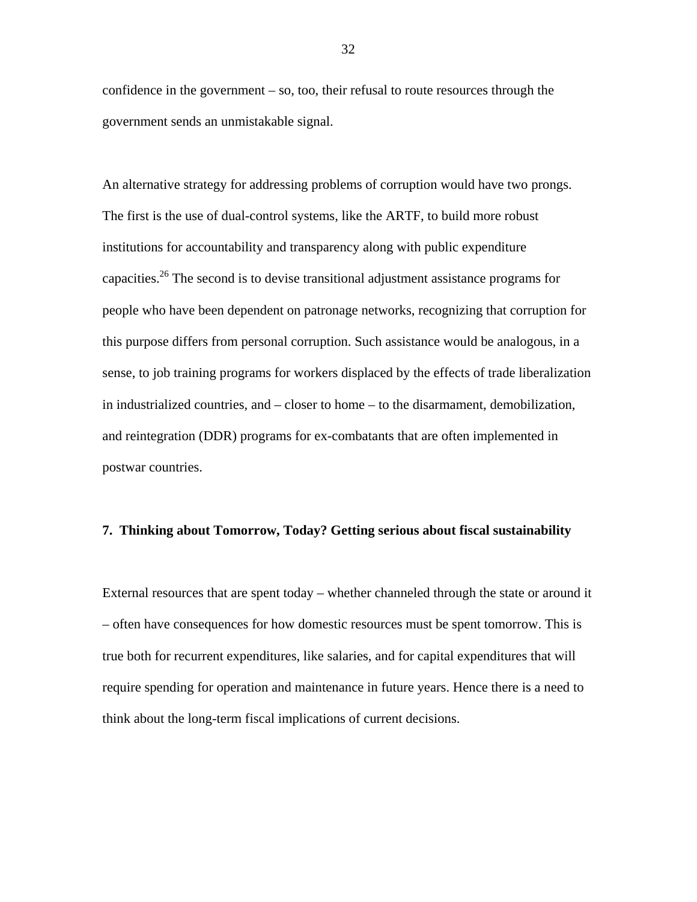confidence in the government – so, too, their refusal to route resources through the government sends an unmistakable signal.

An alternative strategy for addressing problems of corruption would have two prongs. The first is the use of dual-control systems, like the ARTF, to build more robust institutions for accountability and transparency along with public expenditure capacities.<sup>26</sup> The second is to devise transitional adjustment assistance programs for people who have been dependent on patronage networks, recognizing that corruption for this purpose differs from personal corruption. Such assistance would be analogous, in a sense, to job training programs for workers displaced by the effects of trade liberalization in industrialized countries, and – closer to home – to the disarmament, demobilization, and reintegration (DDR) programs for ex-combatants that are often implemented in postwar countries.

#### **7. Thinking about Tomorrow, Today? Getting serious about fiscal sustainability**

External resources that are spent today – whether channeled through the state or around it – often have consequences for how domestic resources must be spent tomorrow. This is true both for recurrent expenditures, like salaries, and for capital expenditures that will require spending for operation and maintenance in future years. Hence there is a need to think about the long-term fiscal implications of current decisions.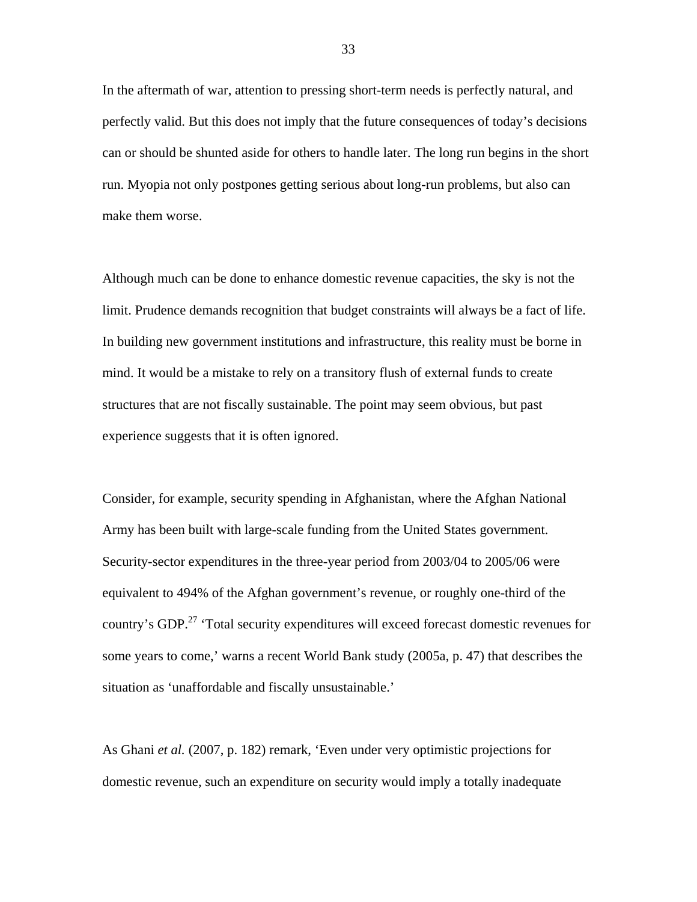In the aftermath of war, attention to pressing short-term needs is perfectly natural, and perfectly valid. But this does not imply that the future consequences of today's decisions can or should be shunted aside for others to handle later. The long run begins in the short run. Myopia not only postpones getting serious about long-run problems, but also can make them worse.

Although much can be done to enhance domestic revenue capacities, the sky is not the limit. Prudence demands recognition that budget constraints will always be a fact of life. In building new government institutions and infrastructure, this reality must be borne in mind. It would be a mistake to rely on a transitory flush of external funds to create structures that are not fiscally sustainable. The point may seem obvious, but past experience suggests that it is often ignored.

Consider, for example, security spending in Afghanistan, where the Afghan National Army has been built with large-scale funding from the United States government. Security-sector expenditures in the three-year period from 2003/04 to 2005/06 were equivalent to 494% of the Afghan government's revenue, or roughly one-third of the country's GDP.<sup>27</sup> 'Total security expenditures will exceed forecast domestic revenues for some years to come,' warns a recent World Bank study (2005a, p. 47) that describes the situation as 'unaffordable and fiscally unsustainable.'

As Ghani *et al.* (2007, p. 182) remark, 'Even under very optimistic projections for domestic revenue, such an expenditure on security would imply a totally inadequate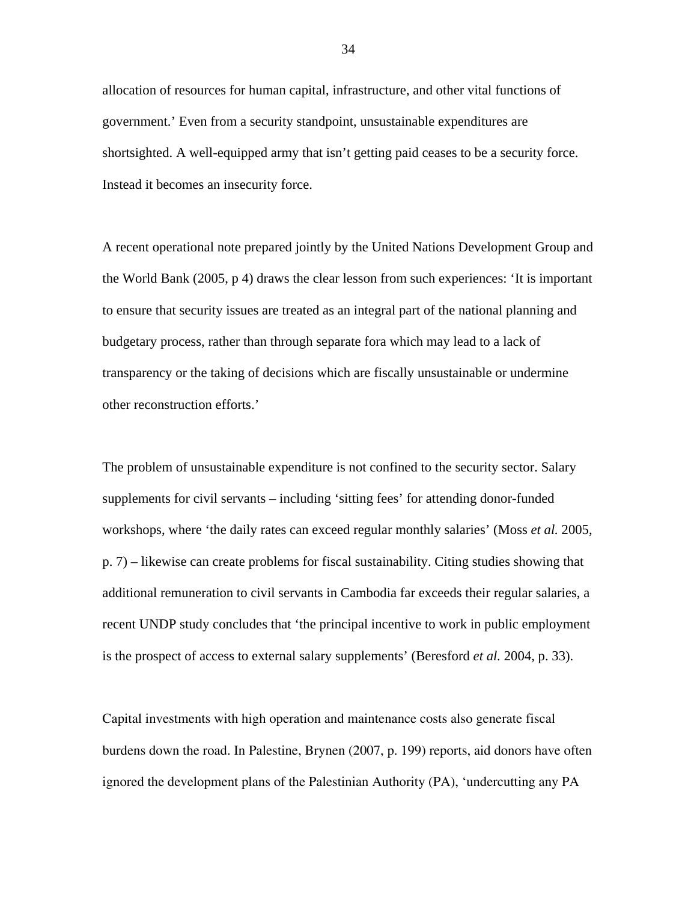allocation of resources for human capital, infrastructure, and other vital functions of government.' Even from a security standpoint, unsustainable expenditures are shortsighted. A well-equipped army that isn't getting paid ceases to be a security force. Instead it becomes an insecurity force.

A recent operational note prepared jointly by the United Nations Development Group and the World Bank (2005, p 4) draws the clear lesson from such experiences: 'It is important to ensure that security issues are treated as an integral part of the national planning and budgetary process, rather than through separate fora which may lead to a lack of transparency or the taking of decisions which are fiscally unsustainable or undermine other reconstruction efforts.'

The problem of unsustainable expenditure is not confined to the security sector. Salary supplements for civil servants – including 'sitting fees' for attending donor-funded workshops, where 'the daily rates can exceed regular monthly salaries' (Moss *et al.* 2005, p. 7) – likewise can create problems for fiscal sustainability. Citing studies showing that additional remuneration to civil servants in Cambodia far exceeds their regular salaries, a recent UNDP study concludes that 'the principal incentive to work in public employment is the prospect of access to external salary supplements' (Beresford *et al.* 2004, p. 33).

Capital investments with high operation and maintenance costs also generate fiscal burdens down the road. In Palestine, Brynen (2007, p. 199) reports, aid donors have often ignored the development plans of the Palestinian Authority (PA), 'undercutting any PA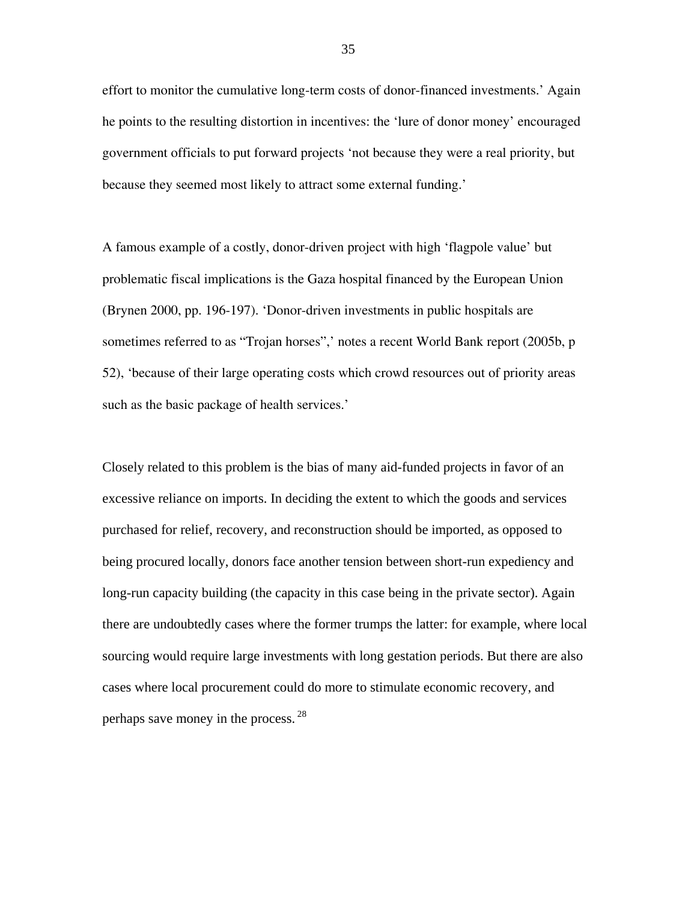effort to monitor the cumulative long-term costs of donor-financed investments.' Again he points to the resulting distortion in incentives: the 'lure of donor money' encouraged government officials to put forward projects 'not because they were a real priority, but because they seemed most likely to attract some external funding.'

A famous example of a costly, donor-driven project with high 'flagpole value' but problematic fiscal implications is the Gaza hospital financed by the European Union (Brynen 2000, pp. 196-197). 'Donor-driven investments in public hospitals are sometimes referred to as "Trojan horses",' notes a recent World Bank report (2005b, p 52), 'because of their large operating costs which crowd resources out of priority areas such as the basic package of health services.'

Closely related to this problem is the bias of many aid-funded projects in favor of an excessive reliance on imports. In deciding the extent to which the goods and services purchased for relief, recovery, and reconstruction should be imported, as opposed to being procured locally, donors face another tension between short-run expediency and long-run capacity building (the capacity in this case being in the private sector). Again there are undoubtedly cases where the former trumps the latter: for example, where local sourcing would require large investments with long gestation periods. But there are also cases where local procurement could do more to stimulate economic recovery, and perhaps save money in the process. [28](#page-46-26)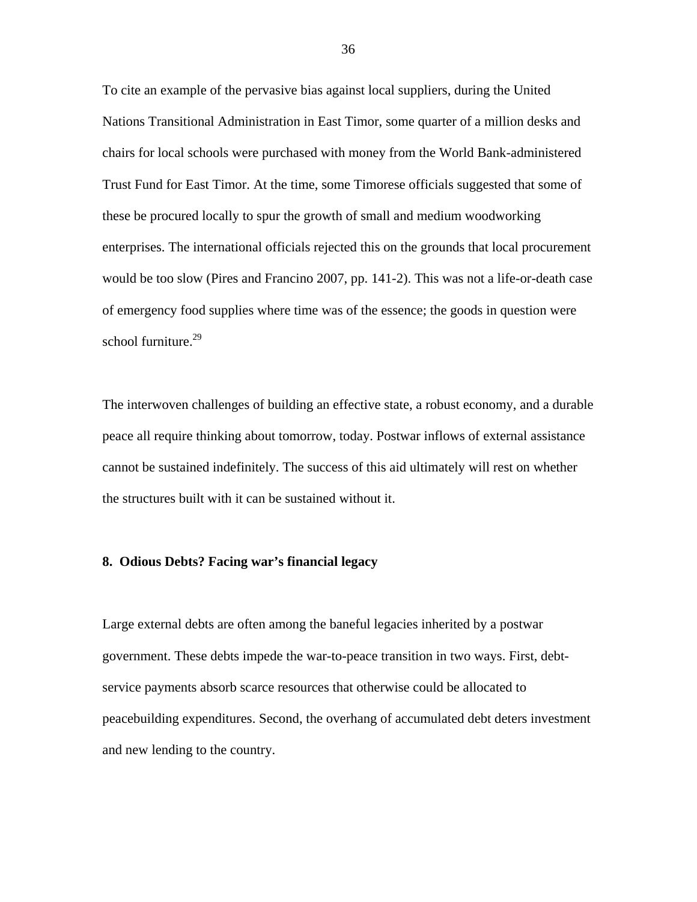To cite an example of the pervasive bias against local suppliers, during the United Nations Transitional Administration in East Timor, some quarter of a million desks and chairs for local schools were purchased with money from the World Bank-administered Trust Fund for East Timor. At the time, some Timorese officials suggested that some of these be procured locally to spur the growth of small and medium woodworking enterprises. The international officials rejected this on the grounds that local procurement would be too slow (Pires and Francino 2007, pp. 141-2). This was not a life-or-death case of emergency food supplies where time was of the essence; the goods in question were school furniture. $29$ 

The interwoven challenges of building an effective state, a robust economy, and a durable peace all require thinking about tomorrow, today. Postwar inflows of external assistance cannot be sustained indefinitely. The success of this aid ultimately will rest on whether the structures built with it can be sustained without it.

#### **8. Odious Debts? Facing war's financial legacy**

Large external debts are often among the baneful legacies inherited by a postwar government. These debts impede the war-to-peace transition in two ways. First, debtservice payments absorb scarce resources that otherwise could be allocated to peacebuilding expenditures. Second, the overhang of accumulated debt deters investment and new lending to the country.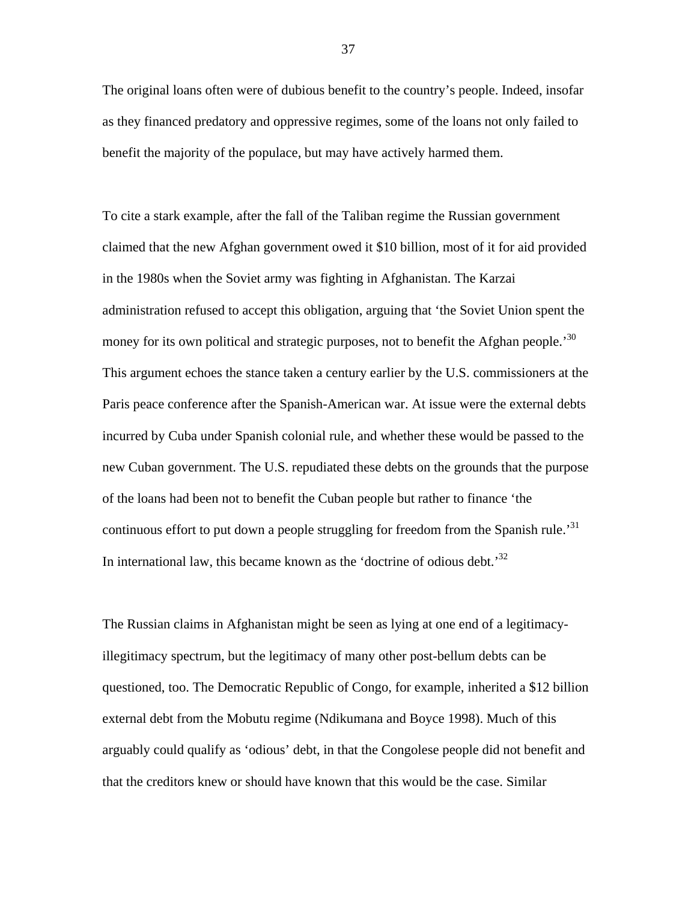The original loans often were of dubious benefit to the country's people. Indeed, insofar as they financed predatory and oppressive regimes, some of the loans not only failed to benefit the majority of the populace, but may have actively harmed them.

To cite a stark example, after the fall of the Taliban regime the Russian government claimed that the new Afghan government owed it \$10 billion, most of it for aid provided in the 1980s when the Soviet army was fighting in Afghanistan. The Karzai administration refused to accept this obligation, arguing that 'the Soviet Union spent the money for its own political and strategic purposes, not to benefit the Afghan people.<sup>[30](#page-46-13)</sup> This argument echoes the stance taken a century earlier by the U.S. commissioners at the Paris peace conference after the Spanish-American war. At issue were the external debts incurred by Cuba under Spanish colonial rule, and whether these would be passed to the new Cuban government. The U.S. repudiated these debts on the grounds that the purpose of the loans had been not to benefit the Cuban people but rather to finance 'the continuous effort to put down a people struggling for freedom from the Spanish rule.<sup>[31](#page-46-28)</sup> In international law, this became known as the 'doctrine of odious debt.'<sup>[32](#page-46-29)</sup>

The Russian claims in Afghanistan might be seen as lying at one end of a legitimacyillegitimacy spectrum, but the legitimacy of many other post-bellum debts can be questioned, too. The Democratic Republic of Congo, for example, inherited a \$12 billion external debt from the Mobutu regime (Ndikumana and Boyce 1998). Much of this arguably could qualify as 'odious' debt, in that the Congolese people did not benefit and that the creditors knew or should have known that this would be the case. Similar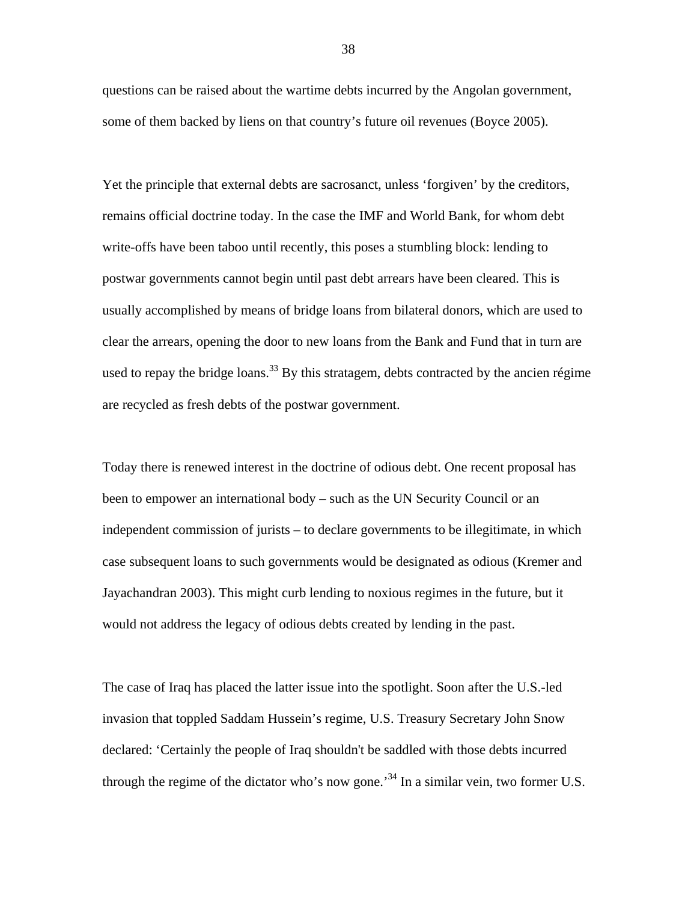questions can be raised about the wartime debts incurred by the Angolan government, some of them backed by liens on that country's future oil revenues (Boyce 2005).

Yet the principle that external debts are sacrosanct, unless 'forgiven' by the creditors, remains official doctrine today. In the case the IMF and World Bank, for whom debt write-offs have been taboo until recently, this poses a stumbling block: lending to postwar governments cannot begin until past debt arrears have been cleared. This is usually accomplished by means of bridge loans from bilateral donors, which are used to clear the arrears, opening the door to new loans from the Bank and Fund that in turn are used to repay the bridge loans.<sup>33</sup> By this stratagem, debts contracted by the ancien régime are recycled as fresh debts of the postwar government.

Today there is renewed interest in the doctrine of odious debt. One recent proposal has been to empower an international body – such as the UN Security Council or an independent commission of jurists – to declare governments to be illegitimate, in which case subsequent loans to such governments would be designated as odious (Kremer and Jayachandran 2003). This might curb lending to noxious regimes in the future, but it would not address the legacy of odious debts created by lending in the past.

The case of Iraq has placed the latter issue into the spotlight. Soon after the U.S.-led invasion that toppled Saddam Hussein's regime, U.S. Treasury Secretary John Snow declared: 'Certainly the people of Iraq shouldn't be saddled with those debts incurred through the regime of the dictator who's now gone.<sup>34</sup> In a similar vein, two former U.S.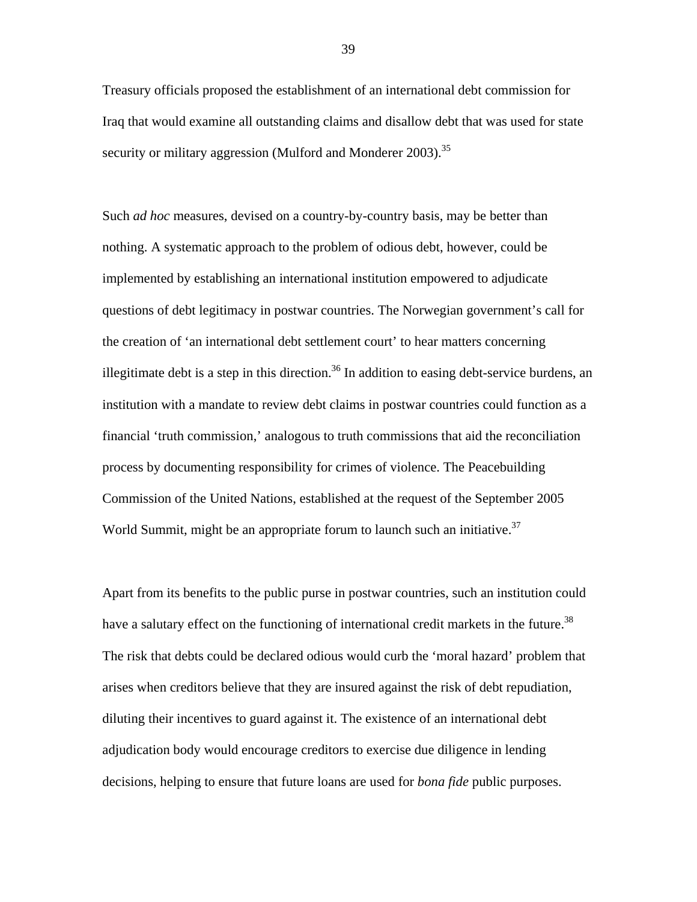Treasury officials proposed the establishment of an international debt commission for Iraq that would examine all outstanding claims and disallow debt that was used for state security or military aggression (Mulford and Monderer 2003).<sup>35</sup>

Such *ad hoc* measures, devised on a country-by-country basis, may be better than nothing. A systematic approach to the problem of odious debt, however, could be implemented by establishing an international institution empowered to adjudicate questions of debt legitimacy in postwar countries. The Norwegian government's call for the creation of 'an international debt settlement court' to hear matters concerning illegitimate debt is a step in this direction.<sup>36</sup> In addition to easing debt-service burdens, an institution with a mandate to review debt claims in postwar countries could function as a financial 'truth commission,' analogous to truth commissions that aid the reconciliation process by documenting responsibility for crimes of violence. The Peacebuilding Commission of the United Nations, established at the request of the September 2005 World Summit, might be an appropriate forum to launch such an initiative.<sup>37</sup>

Apart from its benefits to the public purse in postwar countries, such an institution could have a salutary effect on the functioning of international credit markets in the future.<sup>[38](#page-46-9)</sup> The risk that debts could be declared odious would curb the 'moral hazard' problem that arises when creditors believe that they are insured against the risk of debt repudiation, diluting their incentives to guard against it. The existence of an international debt adjudication body would encourage creditors to exercise due diligence in lending decisions, helping to ensure that future loans are used for *bona fide* public purposes.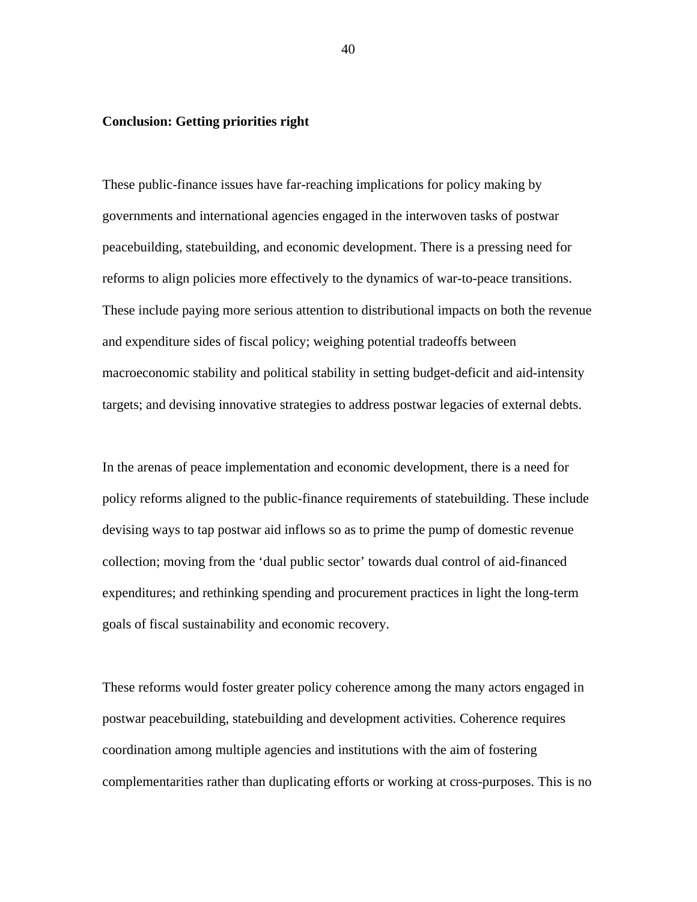#### **Conclusion: Getting priorities right**

These public-finance issues have far-reaching implications for policy making by governments and international agencies engaged in the interwoven tasks of postwar peacebuilding, statebuilding, and economic development. There is a pressing need for reforms to align policies more effectively to the dynamics of war-to-peace transitions. These include paying more serious attention to distributional impacts on both the revenue and expenditure sides of fiscal policy; weighing potential tradeoffs between macroeconomic stability and political stability in setting budget-deficit and aid-intensity targets; and devising innovative strategies to address postwar legacies of external debts.

In the arenas of peace implementation and economic development, there is a need for policy reforms aligned to the public-finance requirements of statebuilding. These include devising ways to tap postwar aid inflows so as to prime the pump of domestic revenue collection; moving from the 'dual public sector' towards dual control of aid-financed expenditures; and rethinking spending and procurement practices in light the long-term goals of fiscal sustainability and economic recovery.

These reforms would foster greater policy coherence among the many actors engaged in postwar peacebuilding, statebuilding and development activities. Coherence requires coordination among multiple agencies and institutions with the aim of fostering complementarities rather than duplicating efforts or working at cross-purposes. This is no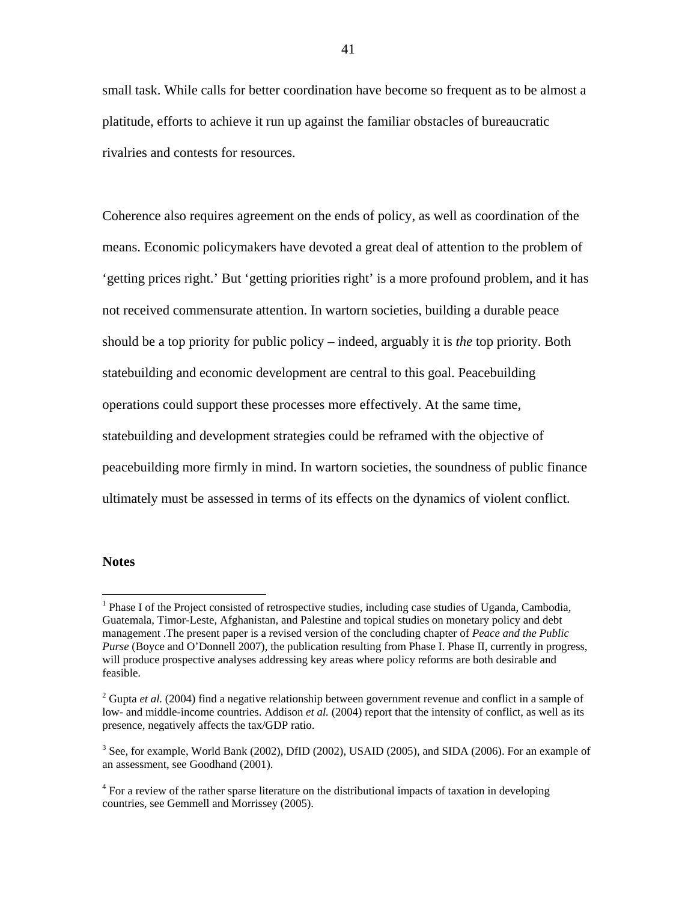small task. While calls for better coordination have become so frequent as to be almost a platitude, efforts to achieve it run up against the familiar obstacles of bureaucratic rivalries and contests for resources.

Coherence also requires agreement on the ends of policy, as well as coordination of the means. Economic policymakers have devoted a great deal of attention to the problem of 'getting prices right.' But 'getting priorities right' is a more profound problem, and it has not received commensurate attention. In wartorn societies, building a durable peace should be a top priority for public policy – indeed, arguably it is *the* top priority. Both statebuilding and economic development are central to this goal. Peacebuilding operations could support these processes more effectively. At the same time, statebuilding and development strategies could be reframed with the objective of peacebuilding more firmly in mind. In wartorn societies, the soundness of public finance ultimately must be assessed in terms of its effects on the dynamics of violent conflict.

#### **Notes**

 $\overline{a}$ 

<sup>&</sup>lt;sup>1</sup> Phase I of the Project consisted of retrospective studies, including case studies of Uganda, Cambodia, Guatemala, Timor-Leste, Afghanistan, and Palestine and topical studies on monetary policy and debt management .The present paper is a revised version of the concluding chapter of *Peace and the Public Purse* (Boyce and O'Donnell 2007), the publication resulting from Phase I. Phase II, currently in progress, will produce prospective analyses addressing key areas where policy reforms are both desirable and feasible.

<sup>&</sup>lt;sup>2</sup> Gupta *et al.* (2004) find a negative relationship between government revenue and conflict in a sample of low- and middle-income countries. Addison *et al.* (2004) report that the intensity of conflict, as well as its presence, negatively affects the tax/GDP ratio.

<sup>&</sup>lt;sup>3</sup> See, for example, World Bank (2002), DfID (2002), USAID (2005), and SIDA (2006). For an example of an assessment, see Goodhand (2001).

<sup>&</sup>lt;sup>4</sup> For a review of the rather sparse literature on the distributional impacts of taxation in developing countries, see Gemmell and Morrissey (2005).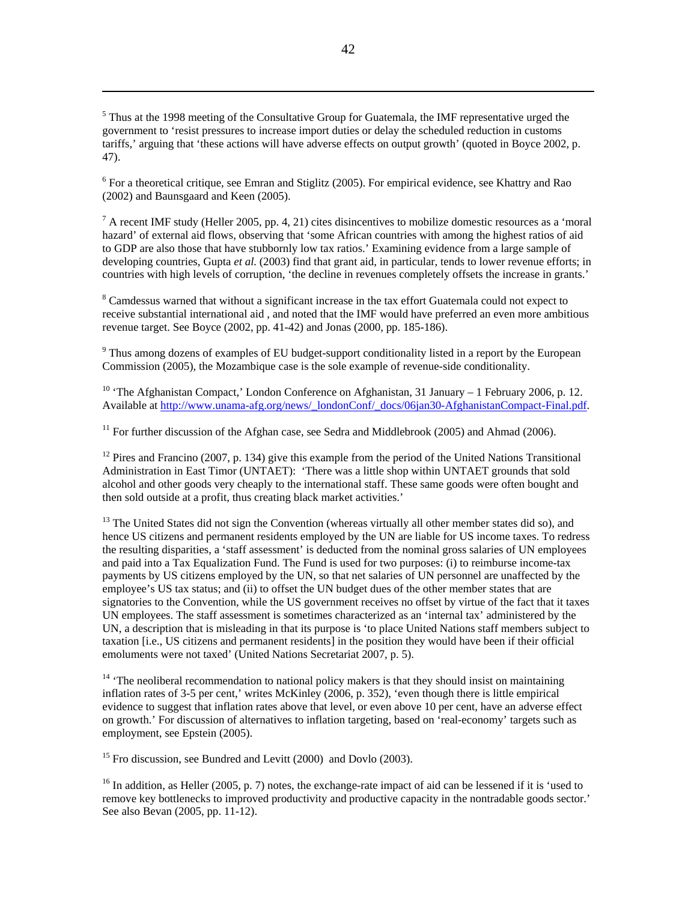<sup>5</sup> Thus at the 1998 meeting of the Consultative Group for Guatemala, the IMF representative urged the government to 'resist pressures to increase import duties or delay the scheduled reduction in customs tariffs,' arguing that 'these actions will have adverse effects on output growth' (quoted in Boyce 2002, p. 47).

 $\overline{a}$ 

<sup>6</sup> For a theoretical critique, see Emran and Stiglitz (2005). For empirical evidence, see Khattry and Rao (2002) and Baunsgaard and Keen (2005).

 $<sup>7</sup>$  A recent IMF study (Heller 2005, pp. 4, 21) cites disincentives to mobilize domestic resources as a 'moral</sup> hazard' of external aid flows, observing that 'some African countries with among the highest ratios of aid to GDP are also those that have stubbornly low tax ratios.' Examining evidence from a large sample of developing countries, Gupta *et al.* (2003) find that grant aid, in particular, tends to lower revenue efforts; in countries with high levels of corruption, 'the decline in revenues completely offsets the increase in grants.'

<sup>8</sup> Camdessus warned that without a significant increase in the tax effort Guatemala could not expect to receive substantial international aid , and noted that the IMF would have preferred an even more ambitious revenue target. See Boyce (2002, pp. 41-42) and Jonas (2000, pp. 185-186).

<sup>9</sup> Thus among dozens of examples of EU budget-support conditionality listed in a report by the European Commission (2005), the Mozambique case is the sole example of revenue-side conditionality.

<sup>10</sup> 'The Afghanistan Compact,' London Conference on Afghanistan, 31 January – 1 February 2006, p. 12. Available at [http://www.unama-afg.org/news/\\_londonConf/\\_docs/06jan30-AfghanistanCompact-Final.pdf.](http://www.unama-afg.org/news/_londonConf/_docs/06jan30-AfghanistanCompact-Final.pdf)

<sup>11</sup> For further discussion of the Afghan case, see Sedra and Middlebrook (2005) and Ahmad (2006).

 $12$  Pires and Francino (2007, p. 134) give this example from the period of the United Nations Transitional Administration in East Timor (UNTAET): 'There was a little shop within UNTAET grounds that sold alcohol and other goods very cheaply to the international staff. These same goods were often bought and then sold outside at a profit, thus creating black market activities.'

<sup>13</sup> The United States did not sign the Convention (whereas virtually all other member states did so), and hence US citizens and permanent residents employed by the UN are liable for US income taxes. To redress the resulting disparities, a 'staff assessment' is deducted from the nominal gross salaries of UN employees and paid into a Tax Equalization Fund. The Fund is used for two purposes: (i) to reimburse income-tax payments by US citizens employed by the UN, so that net salaries of UN personnel are unaffected by the employee's US tax status; and (ii) to offset the UN budget dues of the other member states that are signatories to the Convention, while the US government receives no offset by virtue of the fact that it taxes UN employees. The staff assessment is sometimes characterized as an 'internal tax' administered by the UN, a description that is misleading in that its purpose is 'to place United Nations staff members subject to taxation [i.e., US citizens and permanent residents] in the position they would have been if their official emoluments were not taxed' (United Nations Secretariat 2007, p. 5).

 $14$  'The neoliberal recommendation to national policy makers is that they should insist on maintaining inflation rates of 3-5 per cent,' writes McKinley (2006, p. 352), 'even though there is little empirical evidence to suggest that inflation rates above that level, or even above 10 per cent, have an adverse effect on growth.' For discussion of alternatives to inflation targeting, based on 'real-economy' targets such as employment, see Epstein (2005).

<sup>15</sup> Fro discussion, see Bundred and Levitt (2000) and Dovlo (2003).

 $^{16}$  In addition, as Heller (2005, p. 7) notes, the exchange-rate impact of aid can be lessened if it is 'used to remove key bottlenecks to improved productivity and productive capacity in the nontradable goods sector.' See also Bevan (2005, pp. 11-12).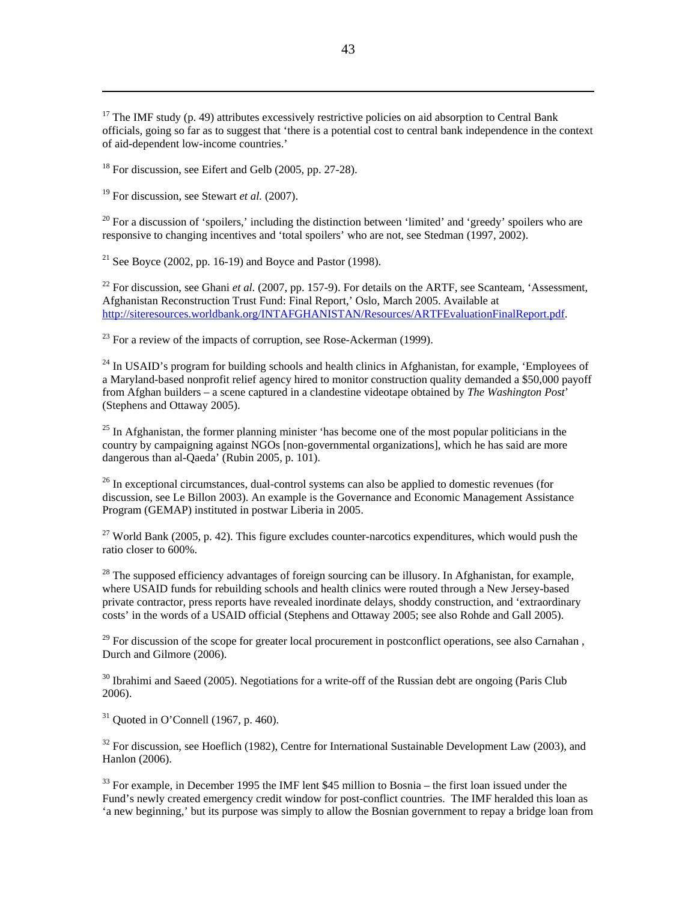$17$  The IMF study (p. 49) attributes excessively restrictive policies on aid absorption to Central Bank officials, going so far as to suggest that 'there is a potential cost to central bank independence in the context of aid-dependent low-income countries.'

 $18$  For discussion, see Eifert and Gelb (2005, pp. 27-28).

19 For discussion, see Stewart *et al.* (2007).

 $\overline{a}$ 

 $20$  For a discussion of 'spoilers,' including the distinction between 'limited' and 'greedy' spoilers who are responsive to changing incentives and 'total spoilers' who are not, see Stedman (1997, 2002).

<sup>21</sup> See Boyce (2002, pp. 16-19) and Boyce and Pastor (1998).

<sup>22</sup> For discussion, see Ghani *et al.* (2007, pp. 157-9). For details on the ARTF, see Scanteam, 'Assessment, Afghanistan Reconstruction Trust Fund: Final Report,' Oslo, March 2005. Available at <http://siteresources.worldbank.org/INTAFGHANISTAN/Resources/ARTFEvaluationFinalReport.pdf>.

 $^{23}$  For a review of the impacts of corruption, see Rose-Ackerman (1999).

 $^{24}$  In USAID's program for building schools and health clinics in Afghanistan, for example, 'Employees of a Maryland-based nonprofit relief agency hired to monitor construction quality demanded a \$50,000 payoff from Afghan builders – a scene captured in a clandestine videotape obtained by *The Washington Post*' (Stephens and Ottaway 2005).

 $25$  In Afghanistan, the former planning minister 'has become one of the most popular politicians in the country by campaigning against NGOs [non-governmental organizations], which he has said are more dangerous than al-Qaeda' (Rubin 2005, p. 101).

 $26$  In exceptional circumstances, dual-control systems can also be applied to domestic revenues (for discussion, see Le Billon 2003). An example is the Governance and Economic Management Assistance Program (GEMAP) instituted in postwar Liberia in 2005.

<sup>27</sup> World Bank (2005, p. 42). This figure excludes counter-narcotics expenditures, which would push the ratio closer to 600%.

 $^{28}$  The supposed efficiency advantages of foreign sourcing can be illusory. In Afghanistan, for example, where USAID funds for rebuilding schools and health clinics were routed through a New Jersey-based private contractor, press reports have revealed inordinate delays, shoddy construction, and 'extraordinary costs' in the words of a USAID official (Stephens and Ottaway 2005; see also Rohde and Gall 2005).

 $29$  For discussion of the scope for greater local procurement in postconflict operations, see also Carnahan. Durch and Gilmore (2006).

 $30$  Ibrahimi and Saeed (2005). Negotiations for a write-off of the Russian debt are ongoing (Paris Club) 2006).

 $31$  Quoted in O'Connell (1967, p. 460).

 $32$  For discussion, see Hoeflich (1982), Centre for International Sustainable Development Law (2003), and Hanlon (2006).

 $33$  For example, in December 1995 the IMF lent \$45 million to Bosnia – the first loan issued under the Fund's newly created emergency credit window for post-conflict countries. The IMF heralded this loan as 'a new beginning,' but its purpose was simply to allow the Bosnian government to repay a bridge loan from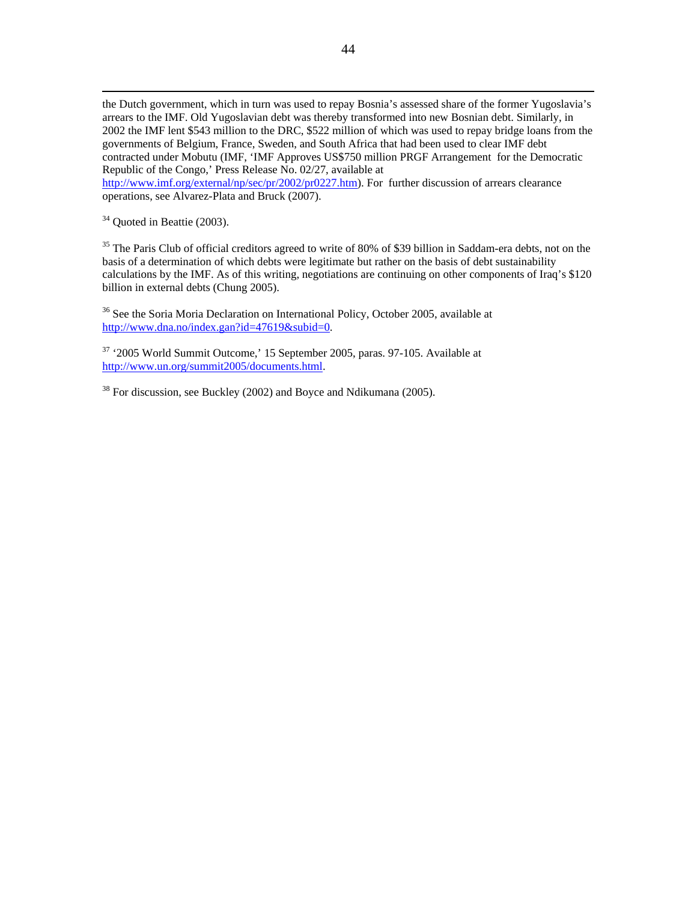the Dutch government, which in turn was used to repay Bosnia's assessed share of the former Yugoslavia's arrears to the IMF. Old Yugoslavian debt was thereby transformed into new Bosnian debt. Similarly, in 2002 the IMF lent \$543 million to the DRC, \$522 million of which was used to repay bridge loans from the governments of Belgium, France, Sweden, and South Africa that had been used to clear IMF debt contracted under Mobutu (IMF, 'IMF Approves US\$750 million PRGF Arrangement for the Democratic Republic of the Congo,' Press Release No. 02/27, available at

<http://www.imf.org/external/np/sec/pr/2002/pr0227.htm>). For further discussion of arrears clearance operations, see Alvarez-Plata and Bruck (2007).

<sup>34</sup> Quoted in Beattie (2003).

<sup>35</sup> The Paris Club of official creditors agreed to write of 80% of \$39 billion in Saddam-era debts, not on the basis of a determination of which debts were legitimate but rather on the basis of debt sustainability calculations by the IMF. As of this writing, negotiations are continuing on other components of Iraq's \$120 billion in external debts (Chung 2005).

<sup>36</sup> See the Soria Moria Declaration on International Policy, October 2005, available at [http://www.dna.no/index.gan?id=47619&subid=0.](http://www.dna.no/index.gan?id=47619&subid=0)

 $37$  '2005 World Summit Outcome,' 15 September 2005, paras. 97-105. Available at [http://www.un.org/summit2005/documents.html.](http://www.un.org/summit2005/documents.html)

 $38$  For discussion, see Buckley (2002) and Boyce and Ndikumana (2005).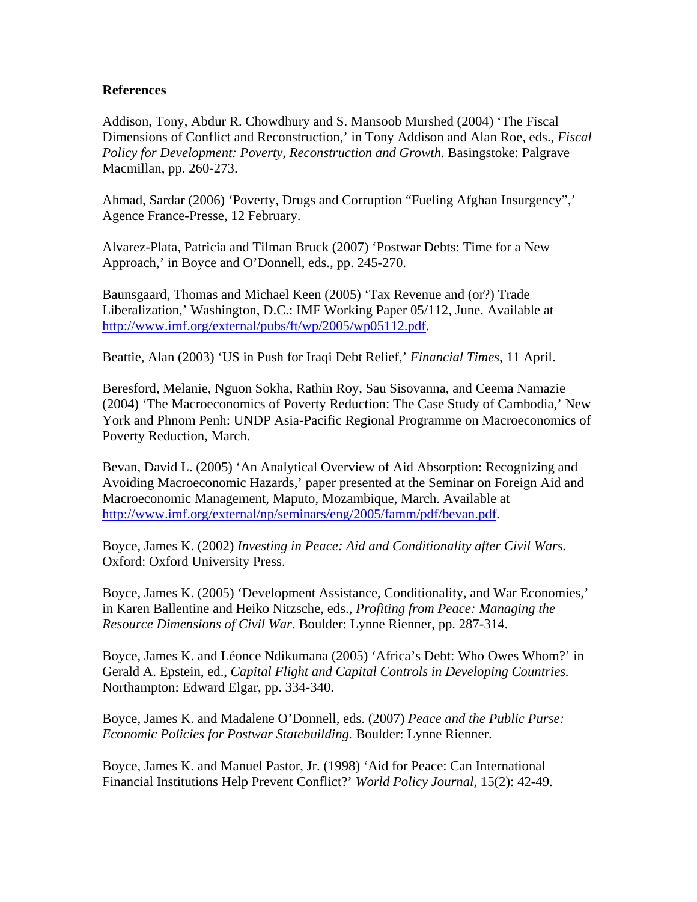#### **References**

<span id="page-46-16"></span><span id="page-46-4"></span>Addison, Tony, Abdur R. Chowdhury and S. Mansoob Murshed (2004) 'The Fiscal Dimensions of Conflict and Reconstruction,' in Tony Addison and Alan Roe, eds., *Fiscal Policy for Development: Poverty, Reconstruction and Growth. Basingstoke: Palgrave* Macmillan, pp. 260-273.

<span id="page-46-19"></span><span id="page-46-18"></span><span id="page-46-17"></span><span id="page-46-6"></span><span id="page-46-5"></span>Ahmad, Sardar (2006) 'Poverty, Drugs and Corruption "Fueling Afghan Insurgency",' Agence France-Presse, 12 February.

<span id="page-46-30"></span><span id="page-46-20"></span>Alvarez-Plata, Patricia and Tilman Bruck (2007) 'Postwar Debts: Time for a New Approach,' in Boyce and O'Donnell, eds., pp. 245-270.

<span id="page-46-31"></span><span id="page-46-21"></span><span id="page-46-7"></span>Baunsgaard, Thomas and Michael Keen (2005) 'Tax Revenue and (or?) Trade Liberalization,' Washington, D.C.: IMF Working Paper 05/112, June. Available at <http://www.imf.org/external/pubs/ft/wp/2005/wp05112.pdf>.

<span id="page-46-32"></span><span id="page-46-23"></span><span id="page-46-22"></span><span id="page-46-8"></span>Beattie, Alan (2003) 'US in Push for Iraqi Debt Relief,' *Financial Times*, 11 April.

<span id="page-46-9"></span>Beresford, Melanie, Nguon Sokha, Rathin Roy, Sau Sisovanna, and Ceema Namazie (2004) 'The Macroeconomics of Poverty Reduction: The Case Study of Cambodia,' New York and Phnom Penh: UNDP Asia-Pacific Regional Programme on Macroeconomics of Poverty Reduction, March.

<span id="page-46-24"></span><span id="page-46-11"></span><span id="page-46-10"></span>Bevan, David L. (2005) 'An Analytical Overview of Aid Absorption: Recognizing and Avoiding Macroeconomic Hazards,' paper presented at the Seminar on Foreign Aid and Macroeconomic Management, Maputo, Mozambique, March. Available at <http://www.imf.org/external/np/seminars/eng/2005/famm/pdf/bevan.pdf>.

<span id="page-46-25"></span><span id="page-46-12"></span>Boyce, James K. (2002) *Investing in Peace: Aid and Conditionality after Civil Wars.*  Oxford: Oxford University Press.

<span id="page-46-26"></span><span id="page-46-0"></span>Boyce, James K. (2005) 'Development Assistance, Conditionality, and War Economies,' in Karen Ballentine and Heiko Nitzsche, eds., *Profiting from Peace: Managing the Resource Dimensions of Civil War.* Boulder: Lynne Rienner, pp. 287-314.

<span id="page-46-27"></span><span id="page-46-13"></span>Boyce, James K. and Léonce Ndikumana (2005) 'Africa's Debt: Who Owes Whom?' in Gerald A. Epstein, ed., *Capital Flight and Capital Controls in Developing Countries.*  Northampton: Edward Elgar, pp. 334-340.

<span id="page-46-28"></span><span id="page-46-1"></span>Boyce, James K. and Madalene O'Donnell, eds. (2007) *Peace and the Public Purse: Economic Policies for Postwar Statebuilding.* Boulder: Lynne Rienner.

<span id="page-46-29"></span><span id="page-46-15"></span><span id="page-46-14"></span><span id="page-46-3"></span><span id="page-46-2"></span>Boyce, James K. and Manuel Pastor, Jr. (1998) 'Aid for Peace: Can International Financial Institutions Help Prevent Conflict?' *World Policy Journal*, 15(2): 42-49.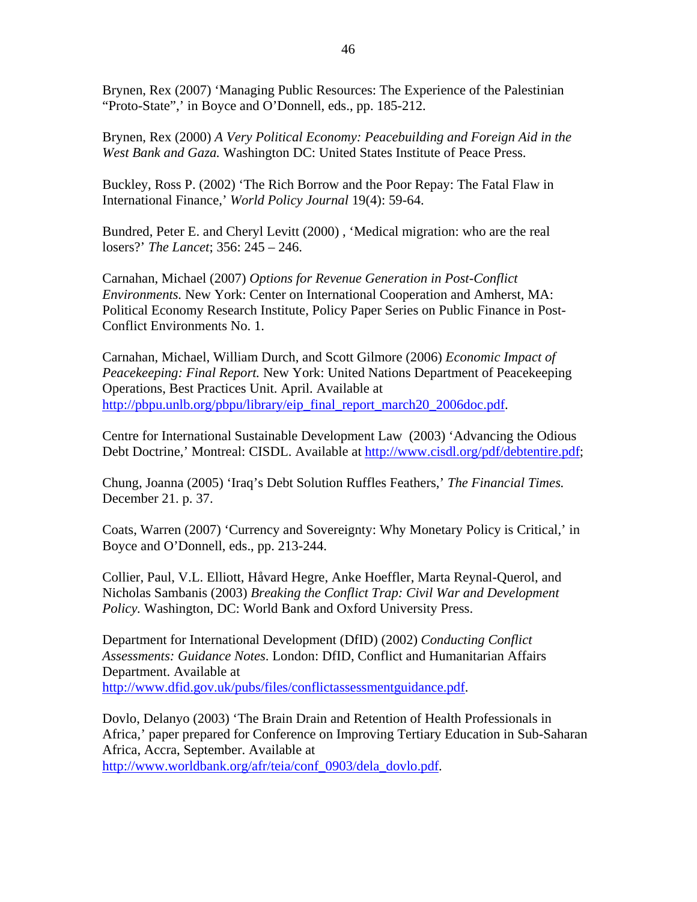Brynen, Rex (2007) 'Managing Public Resources: The Experience of the Palestinian "Proto-State",' in Boyce and O'Donnell, eds., pp. 185-212.

Brynen, Rex (2000) *A Very Political Economy: Peacebuilding and Foreign Aid in the West Bank and Gaza.* Washington DC: United States Institute of Peace Press.

Buckley, Ross P. (2002) 'The Rich Borrow and the Poor Repay: The Fatal Flaw in International Finance,' *World Policy Journal* 19(4): 59-64.

Bundred, Peter E. and Cheryl Levitt (2000) , 'Medical migration: who are the real losers?' *The Lancet*; 356: 245 – 246.

Carnahan, Michael (2007) *Options for Revenue Generation in Post-Conflict Environments.* New York: Center on International Cooperation and Amherst, MA: Political Economy Research Institute, Policy Paper Series on Public Finance in Post-Conflict Environments No. 1.

Carnahan, Michael, William Durch, and Scott Gilmore (2006) *Economic Impact of Peacekeeping: Final Report.* New York: United Nations Department of Peacekeeping Operations, Best Practices Unit. April. Available at [http://pbpu.unlb.org/pbpu/library/eip\\_final\\_report\\_march20\\_2006doc.pdf.](http://pbpu.unlb.org/pbpu/library/eip_final_report_march20_2006doc.pdf)

Centre for International Sustainable Development Law (2003) 'Advancing the Odious Debt Doctrine,' Montreal: CISDL. Available at [http://www.cisdl.org/pdf/debtentire.pdf;](http://www.cisdl.org/pdf/debtentire.pdf)

Chung, Joanna (2005) 'Iraq's Debt Solution Ruffles Feathers,' *The Financial Times.*  December 21. p. 37.

Coats, Warren (2007) 'Currency and Sovereignty: Why Monetary Policy is Critical,' in Boyce and O'Donnell, eds., pp. 213-244.

Collier, Paul, V.L. Elliott, Håvard Hegre, Anke Hoeffler, Marta Reynal-Querol, and Nicholas Sambanis (2003) *Breaking the Conflict Trap: Civil War and Development Policy.* Washington, DC: World Bank and Oxford University Press.

Department for International Development (DfID) (2002) *Conducting Conflict Assessments: Guidance Notes*. London: DfID, Conflict and Humanitarian Affairs Department. Available at [http://www.dfid.gov.uk/pubs/files/conflictassessmentguidance.pdf.](http://www.dfid.gov.uk/pubs/files/conflictassessmentguidance.pdf)

Dovlo, Delanyo (2003) 'The Brain Drain and Retention of Health Professionals in Africa,' paper prepared for Conference on Improving Tertiary Education in Sub-Saharan Africa, Accra, September. Available at [http://www.worldbank.org/afr/teia/conf\\_0903/dela\\_dovlo.pdf.](http://www.worldbank.org/afr/teia/conf_0903/dela_dovlo.pdf)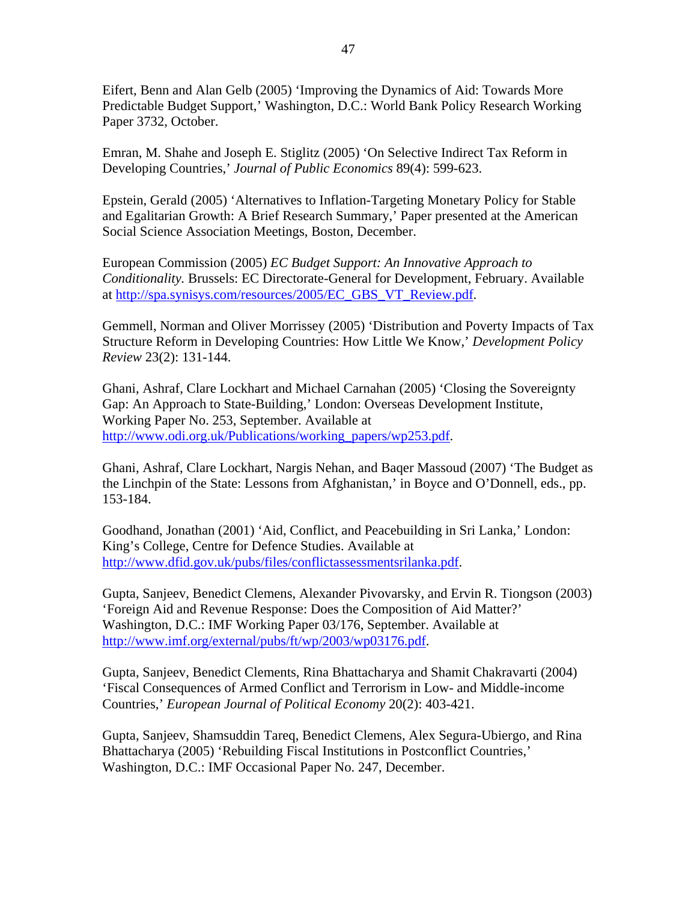Eifert, Benn and Alan Gelb (2005) 'Improving the Dynamics of Aid: Towards More Predictable Budget Support,' Washington, D.C.: World Bank Policy Research Working Paper 3732, October.

Emran, M. Shahe and Joseph E. Stiglitz (2005) 'On Selective Indirect Tax Reform in Developing Countries,' *Journal of Public Economics* 89(4): 599-623.

Epstein, Gerald (2005) 'Alternatives to Inflation-Targeting Monetary Policy for Stable and Egalitarian Growth: A Brief Research Summary,' Paper presented at the American Social Science Association Meetings, Boston, December.

European Commission (2005) *EC Budget Support: An Innovative Approach to Conditionality.* Brussels: EC Directorate-General for Development, February. Available at [http://spa.synisys.com/resources/2005/EC\\_GBS\\_VT\\_Review.pdf.](http://spa.synisys.com/resources/2005/EC_GBS_VT_Review.pdf)

Gemmell, Norman and Oliver Morrissey (2005) 'Distribution and Poverty Impacts of Tax Structure Reform in Developing Countries: How Little We Know,' *Development Policy Review* 23(2): 131-144.

Ghani, Ashraf, Clare Lockhart and Michael Carnahan (2005) 'Closing the Sovereignty Gap: An Approach to State-Building,' London: Overseas Development Institute, Working Paper No. 253, September. Available at [http://www.odi.org.uk/Publications/working\\_papers/wp253.pdf](http://www.odi.org.uk/Publications/working_papers/wp253.pdf).

Ghani, Ashraf, Clare Lockhart, Nargis Nehan, and Baqer Massoud (2007) 'The Budget as the Linchpin of the State: Lessons from Afghanistan,' in Boyce and O'Donnell, eds., pp. 153-184.

Goodhand, Jonathan (2001) 'Aid, Conflict, and Peacebuilding in Sri Lanka,' London: King's College, Centre for Defence Studies. Available at <http://www.dfid.gov.uk/pubs/files/conflictassessmentsrilanka.pdf>.

Gupta, Sanjeev, Benedict Clemens, Alexander Pivovarsky, and Ervin R. Tiongson (2003) 'Foreign Aid and Revenue Response: Does the Composition of Aid Matter?' Washington, D.C.: IMF Working Paper 03/176, September. Available at <http://www.imf.org/external/pubs/ft/wp/2003/wp03176.pdf>.

Gupta, Sanjeev, Benedict Clements, Rina Bhattacharya and Shamit Chakravarti (2004) 'Fiscal Consequences of Armed Conflict and Terrorism in Low- and Middle-income Countries,' *European Journal of Political Economy* 20(2): 403-421.

Gupta, Sanjeev, Shamsuddin Tareq, Benedict Clemens, Alex Segura-Ubiergo, and Rina Bhattacharya (2005) 'Rebuilding Fiscal Institutions in Postconflict Countries,' Washington, D.C.: IMF Occasional Paper No. 247, December.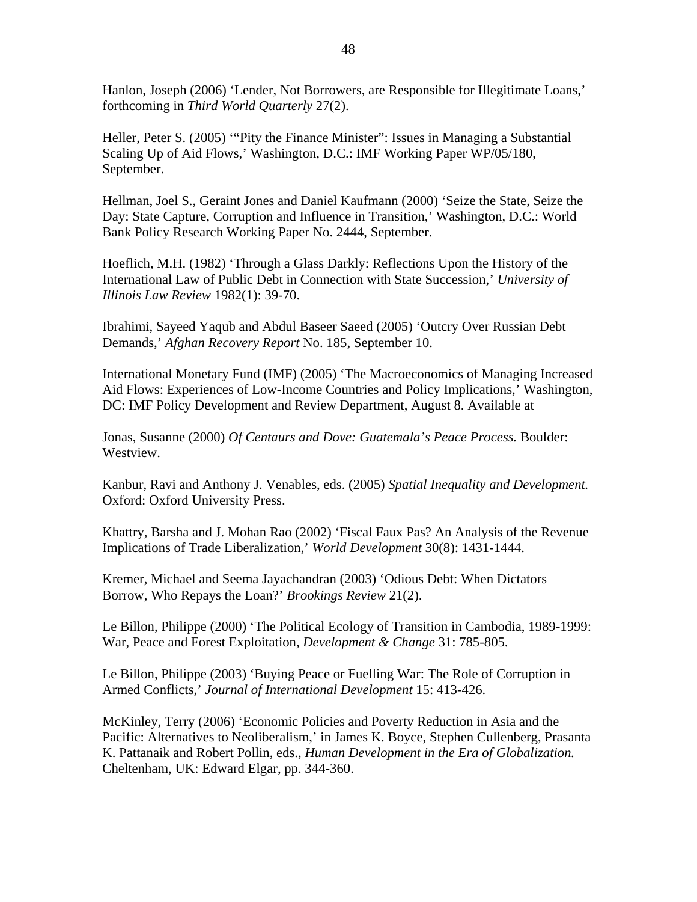Hanlon, Joseph (2006) 'Lender, Not Borrowers, are Responsible for Illegitimate Loans,' forthcoming in *Third World Quarterly* 27(2).

Heller, Peter S. (2005) '"Pity the Finance Minister": Issues in Managing a Substantial Scaling Up of Aid Flows,' Washington, D.C.: IMF Working Paper WP/05/180, September.

Hellman, Joel S., Geraint Jones and Daniel Kaufmann (2000) 'Seize the State, Seize the Day: State Capture, Corruption and Influence in Transition,' Washington, D.C.: World Bank Policy Research Working Paper No. 2444, September.

Hoeflich, M.H. (1982) 'Through a Glass Darkly: Reflections Upon the History of the International Law of Public Debt in Connection with State Succession,' *University of Illinois Law Review* 1982(1): 39-70.

Ibrahimi, Sayeed Yaqub and Abdul Baseer Saeed (2005) 'Outcry Over Russian Debt Demands,' *Afghan Recovery Report* No. 185, September 10.

International Monetary Fund (IMF) (2005) 'The Macroeconomics of Managing Increased Aid Flows: Experiences of Low-Income Countries and Policy Implications,' Washington, DC: IMF Policy Development and Review Department, August 8. Available at

Jonas, Susanne (2000) *Of Centaurs and Dove: Guatemala's Peace Process.* Boulder: Westview.

Kanbur, Ravi and Anthony J. Venables, eds. (2005) *Spatial Inequality and Development.*  Oxford: Oxford University Press.

Khattry, Barsha and J. Mohan Rao (2002) 'Fiscal Faux Pas? An Analysis of the Revenue Implications of Trade Liberalization,' *World Development* 30(8): 1431-1444.

Kremer, Michael and Seema Jayachandran (2003) 'Odious Debt: When Dictators Borrow, Who Repays the Loan?' *Brookings Review* 21(2).

Le Billon, Philippe (2000) 'The Political Ecology of Transition in Cambodia, 1989-1999: War, Peace and Forest Exploitation, *Development & Change* 31: 785-805.

Le Billon, Philippe (2003) 'Buying Peace or Fuelling War: The Role of Corruption in Armed Conflicts,' *Journal of International Development* 15: 413-426.

McKinley, Terry (2006) 'Economic Policies and Poverty Reduction in Asia and the Pacific: Alternatives to Neoliberalism,' in James K. Boyce, Stephen Cullenberg, Prasanta K. Pattanaik and Robert Pollin, eds., *Human Development in the Era of Globalization.*  Cheltenham, UK: Edward Elgar, pp. 344-360.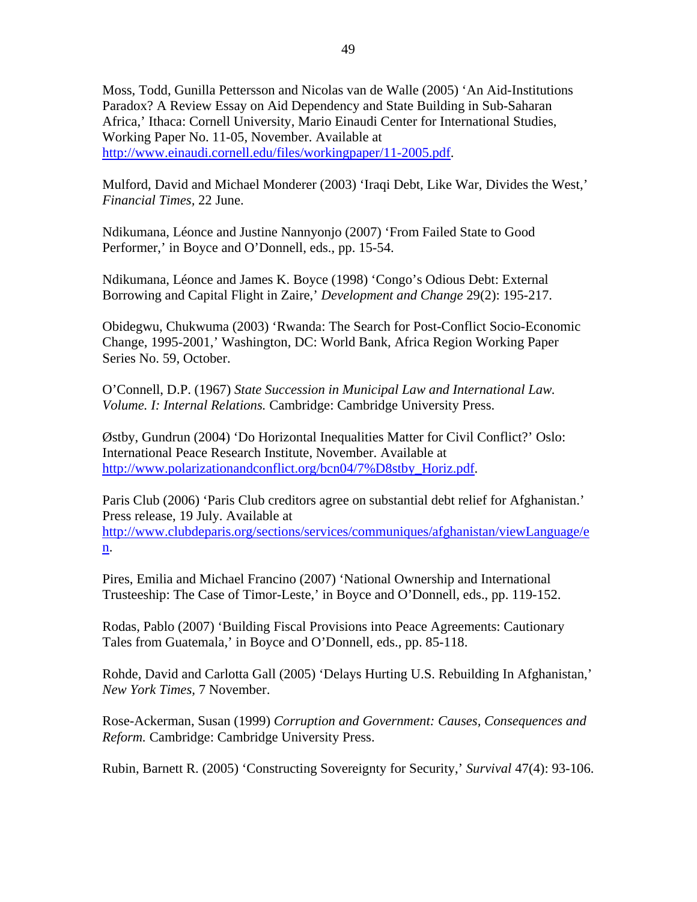Moss, Todd, Gunilla Pettersson and Nicolas van de Walle (2005) 'An Aid-Institutions Paradox? A Review Essay on Aid Dependency and State Building in Sub-Saharan Africa,' Ithaca: Cornell University, Mario Einaudi Center for International Studies, Working Paper No. 11-05, November. Available at [http://www.einaudi.cornell.edu/files/workingpaper/11-2005.pdf.](http://www.einaudi.cornell.edu/files/workingpaper/11-2005.pdf)

Mulford, David and Michael Monderer (2003) 'Iraqi Debt, Like War, Divides the West,' *Financial Times,* 22 June.

Ndikumana, Léonce and Justine Nannyonjo (2007) 'From Failed State to Good Performer,' in Boyce and O'Donnell, eds., pp. 15-54.

Ndikumana, Léonce and James K. Boyce (1998) 'Congo's Odious Debt: External Borrowing and Capital Flight in Zaire,' *Development and Change* 29(2): 195-217.

Obidegwu, Chukwuma (2003) 'Rwanda: The Search for Post-Conflict Socio-Economic Change, 1995-2001,' Washington, DC: World Bank, Africa Region Working Paper Series No. 59, October.

O'Connell, D.P. (1967) *State Succession in Municipal Law and International Law. Volume. I: Internal Relations.* Cambridge: Cambridge University Press.

Østby, Gundrun (2004) 'Do Horizontal Inequalities Matter for Civil Conflict?' Oslo: International Peace Research Institute, November. Available at [http://www.polarizationandconflict.org/bcn04/7%D8stby\\_Horiz.pdf.](http://www.polarizationandconflict.org/bcn04/7%D8stby_Horiz.pdf)

Paris Club (2006) 'Paris Club creditors agree on substantial debt relief for Afghanistan.' Press release, 19 July. Available at [http://www.clubdeparis.org/sections/services/communiques/afghanistan/viewLanguage/e](http://www.clubdeparis.org/sections/services/communiques/afghanistan/viewLanguage/en) [n](http://www.clubdeparis.org/sections/services/communiques/afghanistan/viewLanguage/en).

Pires, Emilia and Michael Francino (2007) 'National Ownership and International Trusteeship: The Case of Timor-Leste,' in Boyce and O'Donnell, eds., pp. 119-152.

Rodas, Pablo (2007) 'Building Fiscal Provisions into Peace Agreements: Cautionary Tales from Guatemala,' in Boyce and O'Donnell, eds., pp. 85-118.

Rohde, David and Carlotta Gall (2005) 'Delays Hurting U.S. Rebuilding In Afghanistan,' *New York Times,* 7 November.

Rose-Ackerman, Susan (1999) *Corruption and Government: Causes, Consequences and Reform.* Cambridge: Cambridge University Press.

Rubin, Barnett R. (2005) 'Constructing Sovereignty for Security,' *Survival* 47(4): 93-106.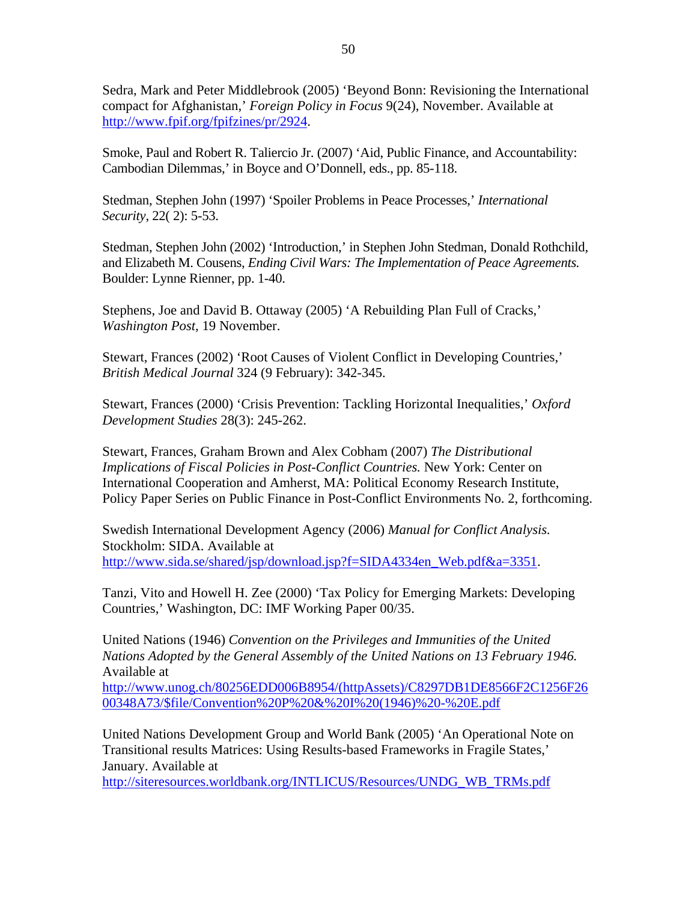Sedra, Mark and Peter Middlebrook (2005) 'Beyond Bonn: Revisioning the International compact for Afghanistan,' *Foreign Policy in Focus* 9(24), November. Available at <http://www.fpif.org/fpifzines/pr/2924>.

Smoke, Paul and Robert R. Taliercio Jr. (2007) 'Aid, Public Finance, and Accountability: Cambodian Dilemmas,' in Boyce and O'Donnell, eds., pp. 85-118.

Stedman, Stephen John (1997) 'Spoiler Problems in Peace Processes,' *International Security*, 22( 2): 5-53.

Stedman, Stephen John (2002) 'Introduction,' in Stephen John Stedman, Donald Rothchild, and Elizabeth M. Cousens, *Ending Civil Wars: The Implementation of Peace Agreements.*  Boulder: Lynne Rienner, pp. 1-40.

Stephens, Joe and David B. Ottaway (2005) 'A Rebuilding Plan Full of Cracks,' *Washington Post,* 19 November.

Stewart, Frances (2002) 'Root Causes of Violent Conflict in Developing Countries,' *British Medical Journal* 324 (9 February): 342-345.

Stewart, Frances (2000) 'Crisis Prevention: Tackling Horizontal Inequalities,' *Oxford Development Studies* 28(3): 245-262.

Stewart, Frances, Graham Brown and Alex Cobham (2007) *The Distributional Implications of Fiscal Policies in Post-Conflict Countries.* New York: Center on International Cooperation and Amherst, MA: Political Economy Research Institute, Policy Paper Series on Public Finance in Post-Conflict Environments No. 2, forthcoming.

Swedish International Development Agency (2006) *Manual for Conflict Analysis.* Stockholm: SIDA. Available at [http://www.sida.se/shared/jsp/download.jsp?f=SIDA4334en\\_Web.pdf&a=3351](http://www.sida.se/shared/jsp/download.jsp?f=SIDA4334en_Web.pdf&a=3351).

Tanzi, Vito and Howell H. Zee (2000) 'Tax Policy for Emerging Markets: Developing Countries,' Washington, DC: IMF Working Paper 00/35.

United Nations (1946) *Convention on the Privileges and Immunities of the United Nations Adopted by the General Assembly of the United Nations on 13 February 1946.*  Available at

[http://www.unog.ch/80256EDD006B8954/\(httpAssets\)/C8297DB1DE8566F2C1256F26](http://www.unog.ch/80256EDD006B8954/(httpAssets)/C8297DB1DE8566F2C1256F2600348A73/$file/Convention P & I (1946) - E.pdf) [00348A73/\\$file/Convention%20P%20&%20I%20\(1946\)%20-%20E.pdf](http://www.unog.ch/80256EDD006B8954/(httpAssets)/C8297DB1DE8566F2C1256F2600348A73/$file/Convention P & I (1946) - E.pdf)

United Nations Development Group and World Bank (2005) 'An Operational Note on Transitional results Matrices: Using Results-based Frameworks in Fragile States,' January. Available at

[http://siteresources.worldbank.org/INTLICUS/Resources/UNDG\\_WB\\_TRMs.pdf](http://siteresources.worldbank.org/INTLICUS/Resources/UNDG_WB_TRMs.pdf)